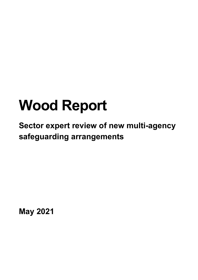# **Wood Report**

**Sector expert review of new multi-agency safeguarding arrangements**

**May 2021**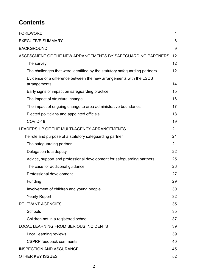## **Contents**

| <b>FOREWORD</b>                                                                     | 4  |  |
|-------------------------------------------------------------------------------------|----|--|
| <b>EXECUTIVE SUMMARY</b>                                                            |    |  |
| <b>BACKGROUND</b>                                                                   | 9  |  |
| ASSESSMENT OF THE NEW ARRANGEMENTS BY SAFEGUARDING PARTNERS                         |    |  |
| The survey                                                                          | 12 |  |
| The challenges that were identified by the statutory safeguarding partners          | 12 |  |
| Evidence of a difference between the new arrangements with the LSCB<br>arrangements | 14 |  |
| Early signs of impact on safeguarding practice                                      | 15 |  |
| The impact of structural change                                                     | 16 |  |
| The impact of ongoing change to area administrative boundaries                      | 17 |  |
| Elected politicians and appointed officials                                         | 18 |  |
| COVID-19                                                                            | 19 |  |
| LEADERSHIP OF THE MULTI-AGENCY ARRANGEMENTS                                         |    |  |
| The role and purpose of a statutory safeguarding partner                            |    |  |
| The safeguarding partner                                                            | 21 |  |
| Delegation to a deputy                                                              | 22 |  |
| Advice, support and professional development for safeguarding partners              | 25 |  |
| The case for additional guidance                                                    | 26 |  |
| Professional development                                                            | 27 |  |
| Funding                                                                             | 29 |  |
| Involvement of children and young people                                            | 30 |  |
| <b>Yearly Report</b>                                                                | 32 |  |
| <b>RELEVANT AGENCIES</b>                                                            | 35 |  |
| Schools                                                                             | 35 |  |
| Children not in a registered school                                                 | 37 |  |
| <b>LOCAL LEARNING FROM SERIOUS INCIDENTS</b>                                        | 39 |  |
| Local learning reviews                                                              | 39 |  |
| <b>CSPRP</b> feedback comments                                                      | 40 |  |
| <b>INSPECTION AND ASSURANCE</b>                                                     |    |  |
| <b>OTHER KEY ISSUES</b>                                                             |    |  |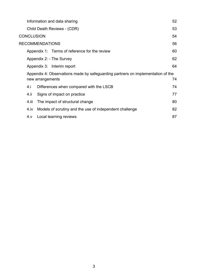| Information and data sharing                                                                              |                                                         |    |
|-----------------------------------------------------------------------------------------------------------|---------------------------------------------------------|----|
|                                                                                                           | Child Death Reviews - (CDR)                             | 53 |
|                                                                                                           | <b>CONCLUSION</b>                                       | 54 |
|                                                                                                           | <b>RECOMMENDATIONS</b>                                  | 56 |
|                                                                                                           | Appendix 1: Terms of reference for the review           | 60 |
| Appendix 2: - The Survey                                                                                  |                                                         |    |
|                                                                                                           | Appendix 3: Interim report                              | 64 |
| Appendix 4: Observations made by safeguarding partners on implementation of the<br>74<br>new arrangements |                                                         |    |
| 4.i                                                                                                       | Differences when compared with the LSCB                 | 74 |
| 4.ii                                                                                                      | Signs of impact on practice                             | 77 |
| 4.iii                                                                                                     | The impact of structural change                         | 80 |
| 4.iv                                                                                                      | Models of scrutiny and the use of independent challenge | 82 |
| 4.v                                                                                                       | Local learning reviews                                  | 87 |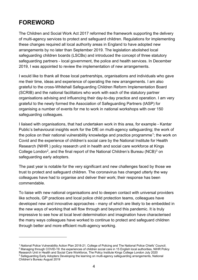### <span id="page-3-0"></span>**FOREWORD**

The Children and Social Work Act 2017 reformed the framework supporting the delivery of multi-agency services to protect and safeguard children. Regulations for implementing these changes required all local authority areas in England to have adopted new arrangements by no later than September 2019. The legislation abolished local safeguarding children boards (LSCBs) and introduced the concept of three statutory safeguarding partners - local government, the police and health services. In December 2019, I was appointed to review the implementation of new arrangements.

I would like to thank all those local partnerships, organisations and individuals who gave me their time, ideas and experience of operating the new arrangements. I am also grateful to the cross-Whitehall Safeguarding Children Reform Implementation Board (SCRIB) and the national facilitators who work with each of the statutory partner organisations advising and influencing their day-to-day practice and operation. I am very grateful to the newly formed the Association of Safeguarding Partners (tASP) for organising a number of events for me to work in national workshops with over 150 safeguarding colleagues.

I liaised with organisations, that had undertaken work in this area, for example - Kantar Public's behavioural insights work for the DfE on multi-agency safeguarding; the work of the police on their national vulnerability knowledge and practice programme<sup>[1](#page-3-1)</sup>; the work on Covid and the experience of children's social care by the National Institute for Health Research (NIHR ) policy research unit in health and social care workforce at Kings College London<sup>2</sup>, and the final report of the National Children's Bureau (NCB)<sup>[3](#page-3-3)</sup> on safeguarding early adopters.

The past year is notable for the very significant and new challenges faced by those we trust to protect and safeguard children. The coronavirus has changed utterly the way colleagues have had to organise and deliver their work; their response has been commendable.

To liaise with new national organisations and to deepen contact with universal providers like schools, GP practices and local police child protection teams, colleagues have developed new and innovative approaches - many of which are likely to be embedded in the new ways of working that will flow through and beyond this pandemic. It is truly impressive to see how at local level determination and imagination have characterised the many ways colleagues have worked to continue to protect and safeguard children through better and more efficient multi-agency working.

<span id="page-3-3"></span><span id="page-3-2"></span><span id="page-3-1"></span><sup>1</sup> National Police Vulnerability Action Plan 2018-21. College of Policing and The National Police Chiefs' Council. <sup>2</sup> Managing through COVID-19: the experiences of children social care in 15 English local authorities, NIHR Policy Research Unit in Health and Social Care Workforce, The Policy Institute Kings College London July 2020 <sup>3</sup> Safeguarding Early Adopters Developing the learning on multi-agency safeguarding arrangements, National Children's Bureau August 2019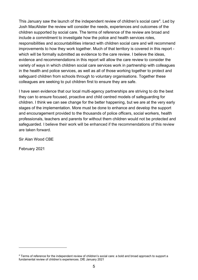This January saw the launch of the independent review of children's social care<sup>4</sup>. Led by Josh MacAlister the review will consider the needs, experiences and outcomes of the children supported by social care. The terms of reference of the review are broad and include a commitment to investigate how the police and health services roles, responsibilities and accountabilities interact with children social care and will recommend improvements to how they work together. Much of that territory is covered in this report which will be formally submitted as evidence to the care review. I believe the ideas, evidence and recommendations in this report will allow the care review to consider the variety of ways in which children social care services work in partnership with colleagues in the health and police services, as well as all of those working together to protect and safeguard children from schools through to voluntary organisations. Together these colleagues are seeking to put children first to ensure they are safe.

I have seen evidence that our local multi-agency partnerships are striving to do the best they can to ensure focused, proactive and child centred models of safeguarding for children. I think we can see change for the better happening, but we are at the very early stages of the implementation. More must be done to enhance and develop the support and encouragement provided to the thousands of police officers, social workers, health professionals, teachers and parents for without them children would not be protected and safeguarded. I believe their work will be enhanced if the recommendations of this review are taken forward.

Sir Alan Wood CBE

February 2021

<span id="page-4-0"></span><sup>4</sup> Terms of reference for the independent review of children's social care: a bold and broad approach to support a fundamental review of children's experiences. DfE January 2021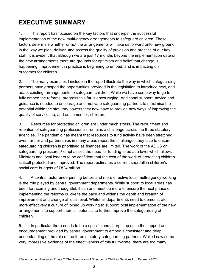# <span id="page-5-0"></span>**EXECUTIVE SUMMARY**

1. This report has focused on the key factors that underpin the successful implementation of the new multi-agency arrangements to safeguard children. These factors determine whether or not the arrangements will take us forward onto new ground in the way we plan, deliver, and assess the quality of provision and practice of our key staff. It is evident that although we are just 17 months beyond the implementation date of the new arrangements there are grounds for optimism and belief that change is happening, improvement in practice is beginning to embed, and is impacting on outcomes for children.

2. The many examples I include in the report illustrate the way in which safeguarding partners have grasped the opportunities provided in the legislation to introduce new, and adapt existing, arrangements to safeguard children. While we have some way to go to fully embed the reforms, progress this far is encouraging. Additional support, advice and guidance is needed to encourage and motivate safeguarding partners to maximise the potential within the statutory powers they now have to provide new ways of improving the quality of services to, and outcomes for, children.

3. Resources for protecting children are under much stress. The recruitment and retention of safeguarding professionals remains a challenge across the three statutory agencies. The pandemic has meant that resources to fund activity have been stretched even further and partnerships in many areas report the challenges they face to ensure safeguarding children is prioritised as finances are limited. The work of the ADCS on safeguarding pressures<sup>[5](#page-5-1)</sup> emphasises the need for funding to be at a level which allows Ministers and local leaders to be confident that the cost of the work of protecting children is itself protected and improved. The report estimates a current shortfall in children's social care budgets of £824 million.

4. A central factor underpinning better, and more effective local multi-agency working is the role played by central government departments. While support to local areas has been forthcoming and thoughtful, it can and must do more to ensure the next phase of implementing the reforms quickens the pace and widens the depth and breadth of improvement and change at local level. Whitehall departments need to demonstrate more effectively a culture of joined up working to support local implementation of the new arrangements to support their full potential to further improve the safeguarding of children.

5. In particular there needs to be a specific and sharp step up in the support and encouragement provided by central government to embed a consistent and deep understanding of the role of the three statutory safeguarding partners. While I saw some very impressive evidence of the effectiveness of this triumvirate, there are too many

<span id="page-5-1"></span><sup>5</sup> Safeguarding Pressures Phase 7, The Association of Directors of Children Services Ltd, February 2021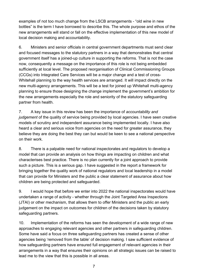examples of not too much change from the LSCB arrangements - "old wine in new bottles" is the term I have borrowed to describe this. The whole purpose and ethos of the new arrangements will stand or fall on the effective implementation of this new model of local decision making and accountability.

6. Ministers and senior officials in central government departments must send clear and focused messages to the statutory partners in a way that demonstrates that central government itself has a joined-up culture in supporting the reforms. That is not the case now, consequently a message on the importance of this role is not being embedded sufficiently at local level. The proposed reorganisation of Clinical Commissioning Groups (CCGs) into Integrated Care Services will be a major change and a test of cross-Whitehall planning to the way health services are arranged. It will impact directly on the new multi-agency arrangements. This will be a test for joined up Whitehall multi-agency planning to ensure those designing the change implement the government's ambition for the new arrangements especially the role and seniority of the statutory safeguarding partner from health.

7. A key issue in this review has been the importance of *accountability and judgement* of the quality of service being provided by local agencies. I have seen creative models of scrutiny and independent assurance being implemented locally. I have also heard a clear and serious voice from agencies on the need for greater assurance, they believe they are doing the best they can but would be keen to see a national perspective on their work.

8. There is a palpable need for national inspectorates and regulators to develop a model that can provide an analysis on how things are impacting on children and what characterises best practice. There is no plan currently for a joint approach to provide such a picture. This is a serious gap. I have suggested in the report a framework for bringing together the quality work of national regulators and local leadership in a model that can provide for Ministers and the public a clear statement of assurance about how children are being protected and safeguarded.

9. I would hope that before we enter into 2022 the national inspectorates would have undertaken a range of activity - whether through the Joint Targeted Area Inspections (JTAI) or other mechanism, that allows them to offer Ministers and the public an early judgement on the impact on outcomes for children of the decisions taken by statutory safeguarding partners.

10. Implementation of the reforms has seen the development of a wide range of new approaches to engaging relevant agencies and other partners in safeguarding children. Some have said a focus on three safeguarding partners has created a sense of other agencies being 'removed from the table' of decision making. I saw sufficient evidence of how safeguarding partners have ensured full engagement of relevant agencies in their arrangements in a way that ensures their opinions on all strategic issues can be raised to lead me to the view that this is possible in all areas.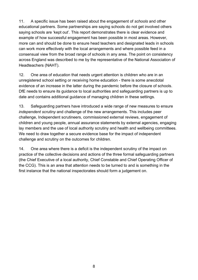11. A specific issue has been raised about the engagement of *schools* and other educational partners. Some partnerships are saying schools do not get involved others saying schools are 'kept out'. This report demonstrates there is clear evidence and example of how successful engagement has been possible in most areas. However, more can and should be done to ensure head teachers and designated leads in schools can work more effectively with the local arrangements and where possible feed in a consensual view from the broad range of schools in any area. The point on consistency across England was described to me by the representative of the National Association of Headteachers (NAHT).

12. One area of education that needs urgent attention is children who are in an unregistered school setting or receiving home education - there is some anecdotal evidence of an increase in the latter during the pandemic before the closure of schools. DfE needs to ensure its guidance to local authorities and safeguarding partners is up to date and contains additional guidance of managing children in these settings.

13. Safeguarding partners have introduced a wide range of new measures to ensure *independent scrutiny* and challenge of the new arrangements. This includes peer challenge, Independent scrutineers, commissioned external reviews, engagement of children and young people, annual assurance statements by external agencies, engaging lay members and the use of local authority scrutiny and health and wellbeing committees. We need to draw together a secure evidence base for the impact of independent challenge and scrutiny on the outcomes for children.

14. One area where there is a deficit is the independent scrutiny of the impact on practice of the collective decisions and actions of the three formal safeguarding partners (the Chief Executive of a local authority, Chief Constable and Chief Operating Officer of the CCG). This is an area that attention needs to be turned to and is something in the first instance that the national inspectorates should form a judgement on.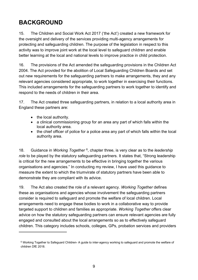# <span id="page-8-0"></span>**BACKGROUND**

15. The Children and Social Work Act 2017 ('the Act') created a new framework for the oversight and delivery of the services providing multi-agency arrangements for protecting and safeguarding children. The purpose of the legislation in respect to this activity was to improve joint work at the local level to safeguard children and enable better learning at the local and national levels to improve practice in child protection.

16. The provisions of the Act amended the safeguarding provisions in the Children Act 2004. The Act provided for the abolition of Local Safeguarding Children Boards and set out new requirements for the safeguarding partners to make arrangements, they and any relevant agencies considered appropriate, to work together in exercising their functions. This included arrangements for the safeguarding partners to work together to identify and respond to the needs of children in their area.

17. The Act created three safeguarding partners, in relation to a local authority area in England these partners are:

- the local authority.
- a clinical commissioning group for an area any part of which falls within the local authority area.
- the chief officer of police for a police area any part of which falls within the local authority area.

18. Guidance in *Working Together* [6,](#page-8-1) chapter three, is very clear as to the *leadership role* to be played by the statutory safeguarding partners. It states that, "Strong leadership is critical for the new arrangements to be effective in bringing together the various organisations and agencies." In conducting my review, I have used this guidance to measure the extent to which the triumvirate of statutory partners have been able to demonstrate they are compliant with its advice.

19. The Act also created the role of a relevant agency. *Working Together* defines these as organisations and agencies whose involvement the safeguarding partners consider is required to safeguard and promote the welfare of local children. Local arrangements need to engage these bodies to work in a collaborative way to provide targeted support to children and families as appropriate. *Working Together* offers clear advice on how the statutory safeguarding partners can ensure relevant agencies are fully engaged and consulted about the local arrangements so as to effectively safeguard children. This category includes schools, colleges, GPs, probation services and providers

<span id="page-8-1"></span><sup>6</sup> Working Together to Safeguard Children- A guide to inter-agency working to safeguard and promote the welfare of children DfE 2018.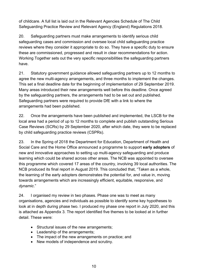of childcare. A full list is laid out in the Relevant Agencies Schedule of The Child Safeguarding Practice Review and Relevant Agency (England) Regulations 2018.

20. Safeguarding partners must make arrangements to identify serious child safeguarding cases and commission and oversee local child safeguarding practice reviews where they consider it appropriate to do so. They have a specific duty to ensure these are commissioned, progressed and result in clear recommendations for action. Working Together sets out the very specific responsibilities the safeguarding partners have.

21. Statutory government guidance allowed safeguarding partners up to 12 months to agree the new multi-agency arrangements, and three months to implement the changes. This set a final deadline date for the beginning of implementation of 29 September 2019. Many areas introduced their new arrangements well before this deadline. Once agreed by the safeguarding partners, the arrangements had to be set out and published. Safeguarding partners were required to provide DfE with a link to where the arrangements had been published.

22. Once the arrangements have been published and implemented, the LSCB for the local area had a period of up to 12 months to complete and publish outstanding Serious Case Reviews (SCRs) by 29 September 2020, after which date, they were to be replaced by child safeguarding practice reviews (CSPRs).

23. In the Spring of 2018 the Department for Education, Department of Health and Social Care and the Home Office announced a programme to support **early adopters** of new and innovative approaches to setting up multi-agency safeguarding and produce learning which could be shared across other areas. The NCB was appointed to oversee this programme which covered 17 areas of the country, involving 39 local authorities. The NCB produced its final report in August 2019. This concluded that, "Taken as a whole, the learning of the early adopters demonstrates the potential for, and value in, moving towards arrangements which are increasingly efficient, equitable, responsive, and *dynamic*."

24. I organised my review in two phases. Phase one was to meet as many organisations, agencies and individuals as possible to identify some key hypotheses to look at in depth during phase two. I produced my phase one report in July 2020, and this is attached as Appendix 3. The report identified five themes to be looked at in further detail. These were:

- Structural issues of the new arrangements;
- Leadership of the arrangements;
- The impact of the new arrangements on practice; and
- New models of independence and scrutiny.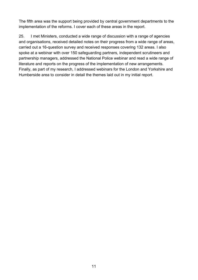The fifth area was the support being provided by central government departments to the implementation of the reforms. I cover each of these areas in the report.

25. I met Ministers, conducted a wide range of discussion with a range of agencies and organisations, received detailed notes on their progress from a wide range of areas, carried out a 16-question survey and received responses covering 132 areas. I also spoke at a webinar with over 150 safeguarding partners, independent scrutineers and partnership managers, addressed the National Police webinar and read a wide range of literature and reports on the progress of the implementation of new arrangements. Finally, as part of my research, I addressed webinars for the London and Yorkshire and Humberside area to consider in detail the themes laid out in my initial report.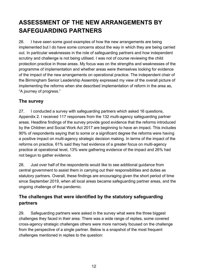# <span id="page-11-0"></span>**ASSESSMENT OF THE NEW ARRANGEMENTS BY SAFEGUARDING PARTNERS**

26. I have seen some good examples of how the new arrangements are being implemented but I do have some concerns about the way in which they are being carried out. In particular weaknesses in the role of safeguarding partners and how independent scrutiny and challenge is not being utilised. I was not of course reviewing the child protection practice in those areas. My focus was on the strengths and weaknesses of the programme of implementation and whether areas were themselves looking for evidence of the impact of the new arrangements on operational practice. The independent chair of the Birmingham Senior Leadership Assembly expressed my view of the overall picture of implementing the reforms when she described implementation of reform in the area as, "A journey of progress."

### <span id="page-11-1"></span>**The survey**

27. I conducted a survey with safeguarding partners which asked 16 questions, Appendix 2. I received 117 responses from the 132 multi-agency safeguarding partner areas. Headline findings of the survey provide good evidence that the reforms introduced by the Children and Social Work Act 2017 are beginning to have an impact. This includes 90% of respondents saying that to some or a significant degree the reforms were having a positive impact on multi-agency strategic decision making. In terms of the impact of the reforms on practice, 61% said they had evidence of a greater focus on multi-agency practice at operational level, 13% were gathering evidence of the impact and 26% had not begun to gather evidence.

28. Just over half of the respondents would like to see additional guidance from central government to assist them in carrying out their responsibilities and duties as statutory partners. Overall, these findings are encouraging given the short period of time since September 2019, when all local areas became safeguarding partner areas, and the ongoing challenge of the pandemic.

### <span id="page-11-2"></span>**The challenges that were identified by the statutory safeguarding partners**

29. Safeguarding partners were asked in the survey what were the three biggest challenges they faced in their area. There was a wide range of replies, some covered cross-agency strategic challenges others were more narrowly focused on the challenge from the perspective of a single partner. Below is a snapshot of the most frequent challenges mentioned in replies to the question: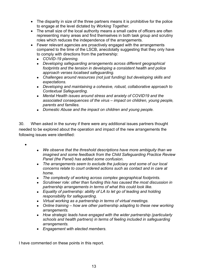- The disparity in size of the three partners means it is prohibitive for the police to engage at the level dictated by *Working Together*.
- The small size of the local authority means a small cadre of officers are often representing many areas and find themselves in both task group and scrutiny roles which reduces the independence of the arrangements.
- Fewer relevant agencies are proactively engaged with the arrangements compared to the time of the LSCB, anecdotally suggesting that they only have to comply with directions from the partnership:
	- *COVID-19 planning.*
	- *Developing safeguarding arrangements across different geographical footprints and the tension in developing a consistent health and police approach verses localised safeguarding.*
	- *Challenges around resources (not just funding) but developing skills and expectations.*
	- *Developing and maintaining a cohesive, robust, collaborative approach to Contextual Safeguarding.*
	- *Mental Health issues around stress and anxiety of COVID19 and the associated consequences of the virus – impact on children, young people, parents and families.*
	- *Domestic Abuse and the impact on children and young people.*

30. When asked in the survey if there were any additional issues partners thought needed to be explored about the operation and impact of the new arrangements the following issues were identified:

•

- *We observe that the threshold descriptions have more ambiguity than we imagined and some feedback from the Child Safeguarding Practice Review Panel (the Panel) has added some confusion.*
- *The arrangements seem to exclude the judiciary and some of our local concerns relate to court ordered actions such as contact and in care at home.*
- *The complexity of working across complex geographical footprints.*
- *Scrutineer role: other than funding this has caused the most discussion in partnership arrangements in terms of what this could look like.*
- *Equality of partnership: ability of LA to let go of leading and holding responsibility for safeguarding.*
- *Virtual working as a partnership in terms of virtual meetings.*
- *Online training – how are other partnership adapting to these new working arrangements.*
- *How strategic leads have engaged with the wider partnership (particularly schools and health partners) in terms of feeling included in safeguarding arrangements.*
- *Engagement with elected members.*

I have commented on these points in this report.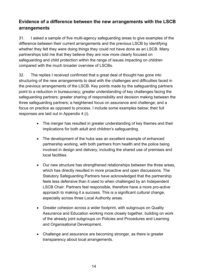### <span id="page-13-0"></span>**Evidence of a difference between the new arrangements with the LSCB arrangements**

31. I asked a sample of five multi-agency safeguarding areas to give examples of the difference between their current arrangements and the previous LSCB by identifying whether they felt they were doing things they could not have done as an LSCB. Many partnerships told me that they believe they are now more clearly focused on safeguarding and child protection within the range of issues impacting on children compared with the much broader overview of LSCBs.

32. The replies I received confirmed that a great deal of thought has gone into structuring of the new arrangements to deal with the challenges and difficulties faced in the previous arrangements of the LSCB. Key points made by the safeguarding partners point to a reduction in bureaucracy; greater understanding of key challenges facing the safeguarding partners; greater sharing of responsibility and decision making between the three safeguarding partners; a heightened focus on assurance and challenge; and a focus on practice as opposed to process. I include some examples below; their full responses are laid out in Appendix 4 (i).

- The merger has resulted in greater understanding of key themes and their implications for both adult and children's safeguarding.
- The development of the hubs was an excellent example of enhanced partnership working, with both partners from health and the police being involved in design and delivery, including the shared use of premises and local facilities.
- Our new structure has strengthened relationships between the three areas, which has directly resulted in more proactive and open discussions. The Statutory Safeguarding Partners have acknowledged that the partnership feels less defensive than it used to when challenged by an Independent LSCB Chair. Partners feel responsible, therefore have a more pro-active approach to making it a success. This is a significant cultural change, especially across three Local Authority areas.
- Greater cohesion across a wider footprint, with subgroups on Quality Assurance and Education working more closely together, building on work of the already joint subgroups on Policies and Procedures and Learning and Organisational Development.
- Challenge and assurance are becoming stronger, as there is greater transparency about local arrangements.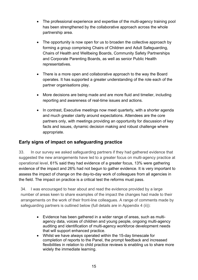- The professional experience and expertise of the multi-agency training pool has been strengthened by the collaborative approach across the whole partnership area.
- The opportunity is now open for us to broaden the collective approach by forming a group comprising Chairs of Children and Adult Safeguarding, Chairs of Health and Wellbeing Boards, Community Safety Partnerships and Corporate Parenting Boards, as well as senior Public Health representatives.
- There is a more open and collaborative approach to the way the Board operates. It has supported a greater understanding of the role each of the partner organisations play.
- More decisions are being made and are more fluid and timelier, including reporting and awareness of real-time issues and actions.
- In contrast, Executive meetings now meet quarterly, with a shorter agenda and much greater clarity around expectations. Attendees are the core partners only, with meetings providing an opportunity for discussion of key facts and issues, dynamic decision making and robust challenge where appropriate.

### <span id="page-14-0"></span>**Early signs of impact on safeguarding practice**

33. In our survey we asked safeguarding partners if they had gathered evidence that suggested the new arrangements have led to a greater focus on multi-agency practice at operational level, 61% said they had evidence of a greater focus, 13% were gathering evidence of the impact and 26% had not begun to gather evidence. It is very important to assess the impact of change on the day-to-day work of colleagues from all agencies in the field. The impact on practice is a critical test the reforms must pass.

34. I was encouraged to hear about and read the evidence provided by a large number of areas keen to share examples of the impact the changes had made to their arrangements on the work of their front-line colleagues. A range of comments made by safeguarding partners is outlined below (full details are in Appendix 4 (ii)):

- Evidence has been gathered in a wider range of areas, such as multiagency data, voices of children and young people, ongoing multi-agency auditing and identification of multi-agency workforce development needs that will support enhanced practice.
- Whilst we have always operated within the 15-day timescale for completion of reports to the Panel, the prompt feedback and increased flexibilities in relation to child practice reviews is enabling us to share more widely the immediate learning.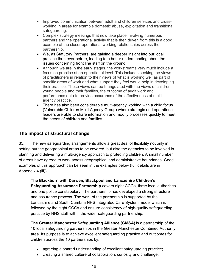- Improved communication between adult and children services and crossworking in areas for example domestic abuse, exploitation and transitional safeguarding.
- Complex strategy meetings that now take place involving numerous partners and the operational activity that is then driven from this is a good example of the closer operational working relationships across the partnership.
- We, as Statutory Partners, are gaining a deeper insight into our local practice than ever before, leading to a better understanding about the issues concerning front line staff on the ground.
- Although we are in the early stages, the workstreams very much include a focus on practice at an operational level. This includes seeking the views of practitioners in relation to their views of what is working well as part of specific areas of work and what support they feel would help in developing their practice. These views can be triangulated with the views of children, young people and their families, the outcome of audit work and performance data to provide assurance of the effectiveness of multiagency practice.
- There has also been considerable multi-agency working with a child focus (Vulnerable Children Multi-Agency Group) where strategic and operational leaders are able to share information and modify processes quickly to meet the needs of children and families.

### <span id="page-15-0"></span>**The impact of structural change**

35. The new safeguarding arrangements allow a great deal of flexibility not only in setting out the geographical areas to be covered, but also the agencies to be involved in planning and delivering a multi-agency approach to protecting children. A small number of areas have agreed to work across geographical and administrative boundaries. Good examples of this approach can be seen in the examples below (full details are in Appendix 4 (iii)):

**The Blackburn with Darwen, Blackpool and Lancashire Children's Safeguarding Assurance Partnership** covers eight CCGs, three local authorities and one police constabulary. The partnership has developed a strong structure and assurance process. The work of the partnership is supported by the Lancashire and South Cumbria NHS Integrated Care System model which is followed by the eight CCGs and ensure consistency of high-quality safeguarding practice by NHS staff within the wider safeguarding partnership.

**The Greater Manchester Safeguarding Alliance (GMSA)** is a partnership of the 10 local safeguarding partnerships in the Greater Manchester Combined Authority area. Its purpose is to achieve excellent safeguarding practice and outcomes for children across the 10 partnerships by:

- agreeing a shared understanding of excellent safeguarding practice;
- creating a shared culture of collaboration, curiosity and challenge;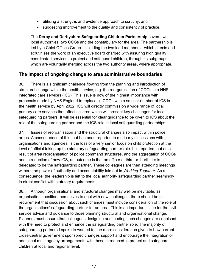- utilising a strengths and evidence approach to scrutiny; and
- suggesting improvement to the quality and consistency of practice.

The **Derby and Derbyshire Safeguarding Children Partnership** covers two local authorities, two CCGs and the constabulary for the area. The partnership is led by a Chief Offices Group - including the two lead members - which directs and scrutinises the work of an executive board charged with assuring high quality coordinated services to protect and safeguard children, through its subgroups, which are voluntarily merging across the two authority areas, where appropriate.

### <span id="page-16-0"></span>**The impact of ongoing change to area administrative boundaries**

36. There is a significant challenge flowing from the planning and introduction of structural change within the health service, e.g. the reorganisation of CCGs into NHS integrated care services (ICS). This issue is now of the highest importance with proposals made by NHS England to replace all CCGs with a smaller number of ICS in the health service by April 2022. ICS will directly commission a wide range of local primary care services that affect children which will present key challenges for local safeguarding partners. It will be essential for clear guidance to be given to ICS about the role of the safeguarding partner and the ICS role in local safeguarding partnerships.

37. Issues of reorganisation and the structural changes also impact within police areas. A consequence of this that has been reported to me in my discussions with organisations and agencies, is the loss of a very senior focus on child protection at the level of official taking up the statutory safeguarding partner role. It is reported that as a result of area reorganisation of police command structures, and the aggregation of CCGs and introduction of new ICS, an outcome is that an officer at third or fourth tier is delegated to be the safeguarding partner. These colleagues are then attending meetings without the power of authority and accountability laid out in *Working Together*. As a consequence, the leadership is left to the local authority safeguarding partner seemingly in direct conflict with statutory requirements.

38. Although organisational and structural changes may well be inevitable, as organisations position themselves to deal with new challenges, there should be a requirement that discussion about such changes must include consideration of the role of the organisations' safeguarding partner for an area. This is an important issue for the civil service advice and guidance to those planning structural and organisational change. Planners must ensure that colleagues designing and leading such changes are cognisant with the need to protect and enhance the safeguarding partner role. The majority of safeguarding partners I spoke to wanted to see more consideration given to how current cross-central government sponsored changes support and encourage the integration of additional multi-agency arrangements with those introduced to protect and safeguard children at local and regional level.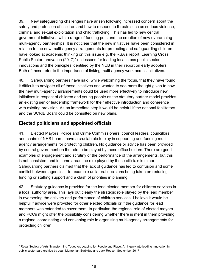39. New safeguarding challenges have arisen following increased concern about the safety and protection of children and how to respond to threats such as serious violence, criminal and sexual exploitation and child trafficking. This has led to new central government initiatives with a range of funding pots and the creation of new overarching multi-agency partnerships. It is not clear that the new initiatives have been considered in relation to the new multi-agency arrangements for protecting and safeguarding children. I have looked at academic thinking on this issue e.g. the RSA's report, Learning Cross Public Sector Innovation  $(2017)^7$  $(2017)^7$  $(2017)^7$  on lessons for leading local cross public sector innovations and the principles identified by the NCB in their report on early adopters. Both of these refer to the importance of linking multi-agency work across initiatives.

40. Safeguarding partners have said, while welcoming the focus, that they have found it difficult to navigate all of these initiatives and wanted to see more thought given to how the new multi-agency arrangements could be used more effectively to introduce new initiatives in respect of children and young people as the statutory partner model provides an existing senior leadership framework for their effective introduction and coherence with existing provision. As an immediate step it would be helpful if the national facilitators and the SCRIB Board could be consulted on new plans.

### <span id="page-17-0"></span>**Elected politicians and appointed officials**

41. Elected Mayors, Police and Crime Commissioners, council leaders, councillors and chairs of NHS boards have a crucial role to play in supporting and funding multiagency arrangements for protecting children. No guidance or advice has been provided by central government on the role to be played by these office holders. There are good examples of engagement and scrutiny of the performance of the arrangements, but this is not consistent and in some areas the role played by these officials is minor. Safeguarding partners claimed that the lack of guidance has led to confusion and some conflict between agencies - for example unilateral decisions being taken on reducing funding or staffing support and a clash of priorities in planning.

42. Statutory guidance is provided for the lead elected member for children services in a local authority area. This lays out clearly the strategic role played by the lead member in overseeing the delivery and performance of children services. I believe it would be helpful if advice were provided for other elected officials or if the guidance for lead members was extended to cover them. In particular, the regional role of elected mayors and PCCs might offer the possibility considering whether there is merit in them providing a regional coordinating and convening role in organising multi-agency arrangements for protecting children.

<span id="page-17-1"></span><sup>7</sup> Royal Society of Arts-Transforming Together; Leading for People and Place. An inquiry into leading innovation in public sector partnerships-by Joan Munro, Ian Burbidge and Jack Robson September 2017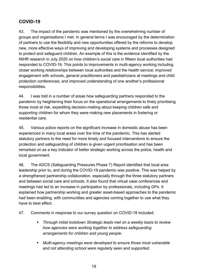### <span id="page-18-0"></span>**COVID-19**

43. The impact of the pandemic was mentioned by the overwhelming number of groups and organisations I met. In general terms I was encouraged by the determination of partners to use the flexibility and new opportunities offered by the reforms to develop new, more effective ways of improving and developing systems and processes designed to protect and safeguard children. An example of this is the evidence identified by the NIHR research in July 2020 on how children's social care in fifteen local authorities had responded to COVID-19. This points to improvements in multi-agency working including closer working relationships between local authorities and the health service; improved engagement with schools, general practitioners and paediatricians at meetings and child protection conferences; and improved understanding of one another's professional responsibilities.

44. I was told in a number of areas how safeguarding partners responded to the pandemic by heightening their focus on the operational arrangements to finely prioritising those most at risk, expediting decision-making about keeping children safe and supporting children for whom they were making new placements in fostering or residential care.

45. Various police reports on the significant increase in domestic abuse has been experienced in many local areas over the time of the pandemic. This has alerted statutory partners to the need for more timely and focused interventions to ensure the protection and safeguarding of children is given urgent prioritisation and has been remarked on as a key indicator of better strategic working across the police, health and local government.

46. The ADCS (Safeguarding Pressures Phase 7) Report identified that local area leadership prior to, and during the COVID-19 pandemic was positive. This was helped by a strengthened partnership collaboration, especially through the three statutory partners and between social care and schools. It also found that virtual case conferences and meetings had led to an increase in participation by professionals, including GPs. It explained how partnership working and greater asset-based approaches to the pandemic had been enabling, with communities and agencies coming together to use what they have to best effect.

- 47. Comments in response to our survey question on COVID-19 included:
	- *Through initial lockdown Strategic leads met on a weekly basis to review how agencies were working together to address safeguarding arrangements for children and young people.*
	- *Multi-agency meetings were developed to ensure those most vulnerable and not attending school were regularly seen and supported.*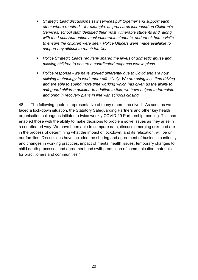- *Strategic Lead discussions saw services pull together and support each other where required – for example, as pressures increased on Children's Services, school staff identified their most vulnerable students and, along with the Local Authorities most vulnerable students, undertook home visits to ensure the children were seen. Police Officers were made available to support any difficult to reach families.*
- *Police Strategic Leads regularly shared the levels of domestic abuse and missing children to ensure a coordinated response was in place.*
- *Police response - we have worked differently due to Covid and are now utilising technology to work more effectively. We are using less time driving and are able to spend more time working which has given us the ability to safeguard children quicker. In addition to this, we have helped to formulate and bring in recovery plans in line with schools closing.*

48. The following quote is representative of many others I received, "As soon as we faced a lock-down situation, the Statutory Safeguarding Partners and other key health organisation colleagues initiated a twice weekly COVID-19 Partnership meeting. This has enabled those with the ability to make decisions to problem solve issues as they arise in a coordinated way. We have been able to compare data, discuss emerging risks and are in the process of determining what the impact of lockdown, and its relaxation, will be on our families. Discussions have included the sharing and agreement of business continuity and changes in working practices, impact of mental health issues, temporary changes to child death processes and agreement and swift production of communication materials for practitioners and communities."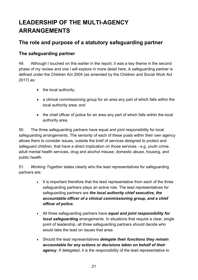# <span id="page-20-0"></span>**LEADERSHIP OF THE MULTI-AGENCY ARRANGEMENTS**

### <span id="page-20-1"></span>**The role and purpose of a statutory safeguarding partner**

### <span id="page-20-2"></span>**The safeguarding partner**

49. Although I touched on this earlier in the report, it was a key theme in the second phase of my review and one I will explore in more detail here. A safeguarding partner is defined under the Children Act 2004 (as amended by the Children and Social Work Act 2017) as:

- the local authority;
- a clinical commissioning group for an area any part of which falls within the local authority area; and
- the chief officer of police for an area any part of which falls within the local authority area.

50. The three safeguarding partners have equal and joint responsibility for local safeguarding arrangements. The seniority of each of these posts within their own agency allows them to consider issues, outside the brief of services designed to protect and safeguard children, that have a direct implication on those services - e.g. youth crime, adult mental health services, drug and alcohol misuse, domestic abuse, housing, and public health.

51. *Working Together* states clearly who the lead representatives for safeguarding partners are:

- It is important therefore that the lead representative from each of the three safeguarding partners plays an active role. The lead representatives for safeguarding partners are *the local authority chief executive, the accountable officer of a clinical commissioning group, and a chief officer of police.*
- All three safeguarding partners have *equal and joint responsibility for local safeguarding* arrangements. In situations that require a clear, single point of leadership, all three safeguarding partners should decide who would take the lead on issues that arise.
- Should the lead representatives *delegate their functions they remain accountable for any actions or decisions taken on behalf of their agency*. If delegated, it is the responsibility of the lead representative to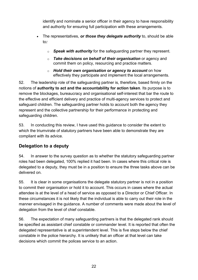identify and nominate a senior officer in their agency to have responsibility and authority for ensuring full participation with these arrangements.

- The representatives, *or those they delegate authority* to, should be able to*:*
	- o *Speak with authority* for the safeguarding partner they represent.
	- o *Take decisions on behalf of their organisation* or agency and commit them on policy, resourcing and practice matters.
	- o *Hold their own organisation or agency to account* on how effectively they participate and implement the local arrangements.

52. The leadership role of the safeguarding partner is, therefore, based firmly on the notions of **authority to act and the accountability for action taken**. Its purpose is to remove the blockages, bureaucracy and organisational self-interest that bar the route to the effective and efficient delivery and practice of multi-agency services to protect and safeguard children. The safeguarding partner holds to account both the agency they represent and the collective partnership for their performance in protecting and safeguarding children.

53. In conducting this review, I have used this guidance to consider the extent to which the triumvirate of statutory partners have been able to demonstrate they are compliant with its advice.

### <span id="page-21-0"></span>**Delegation to a deputy**

54. In answer to the survey question as to whether the statutory safeguarding partner roles had been delegated, 100% replied it had been. In cases where this critical role is delegated to a deputy, they must be in a position to ensure the three tasks above can be delivered on.

55. It is clear in some organisations the delegate statutory partner is not in a position to commit their organisation or hold it to account. This occurs in cases where the actual attendee is at the level of a head of service as opposed to a Director or Chief Officer. In these circumstances it is not likely that the individual is able to carry out their role in the manner envisaged in the guidance. A number of comments were made about the level of delegation from the level of chief constable.

56. The expectation of many safeguarding partners is that the delegated rank should be specified as assistant chief constable or commander level. It is reported that often the delegated representative is at superintendent level. This is five steps below the chief constable in the police hierarchy. It is unlikely that an officer at that level can take decisions which commit the polices service to an action.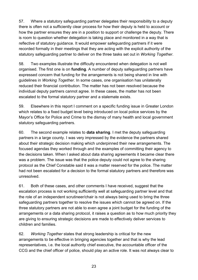57. Where a statutory safeguarding partner delegates their responsibility to a deputy there is often not a sufficiently clear process for how their deputy is held to account or how the partner ensures they are in a position to support or challenge the deputy. There is room to question whether delegation is taking place and monitored in a way that is reflective of statutory guidance. It would empower safeguarding partners if it were recorded formally in their meetings that they are acting with the explicit authority of the statutory safeguarding partner to deliver on the three tasks set out in *Working Together*.

58. Two examples illustrate the difficulty encountered when delegation is not well organised. The first one is on **funding**. A number of deputy safeguarding partners have expressed concern that funding for the arrangements is not being shared in line with guidelines in *Working Together*. In some cases, one organisation has unilaterally reduced their financial contribution. The matter has not been resolved because the individual deputy partners cannot agree. In these cases, the matter has not been escalated to the formal statutory partner and a stalemate exists.

59. Elsewhere in this report I comment on a specific funding issue in Greater London which relates to a fixed budget level being introduced on local police services by the Mayor's Office for Police and Crime to the dismay of many health and local government statutory safeguarding partners.

60. The second example relates to **data sharing**. I met the deputy safeguarding partners in a large county. I was very impressed by the evidence the partners shared about their strategic decision making which underpinned their new arrangements. The focused agendas they worked through and the examples of committing their agency to the decisions taken. When I asked about data sharing agreements it became clear there was a problem. The issue was that the police deputy could not agree to the sharing protocol as the Chief Constable said it was a matter reserved for the police. The matter had not been escalated for a decision to the formal statutory partners and therefore was unresolved.

61. Both of these cases, and other comments I have received, suggest that the escalation process is not working sufficiently well at safeguarding partner level and that the role of an independent scrutineer/chair is not always being used to bring the three safeguarding partners together to resolve the issues which cannot be agreed on. If the three statutory partners are not able to even agree a joint budget for the funding of the arrangements or a data sharing protocol, it raises a question as to how much priority they are giving to ensuring strategic decisions are made to effectively deliver services to children and families.

62. *Working Together* states that strong leadership is critical for the new arrangements to be effective in bringing agencies together and that is why the lead representatives, i.e. the local authority chief executive, the accountable officer of the CCG and the chief officer of police, should play an active role. It was not always clear to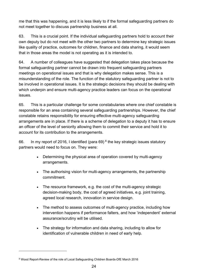me that this was happening, and it is less likely to if the formal safeguarding partners do not meet together to discuss partnership business at all.

63. This is a crucial point. If the individual safeguarding partners hold to account their own deputy but do not meet with the other two partners to determine key strategic issues like quality of practice, outcomes for children, finance and data sharing, it would seem that in those areas the model is not operating as it is intended to.

64. A number of colleagues have suggested that delegation takes place because the formal safeguarding partner cannot be drawn into frequent safeguarding partners meetings on operational issues and that is why delegation makes sense. This is a misunderstanding of the role. The function of the statutory safeguarding partner is not to be involved in operational issues. It is the strategic decisions they should be dealing with which underpin and ensure multi-agency practice leaders can focus on the operational issues.

65. This is a particular challenge for some constabularies where one chief constable is responsible for an area containing several safeguarding partnerships. However, the chief constable retains responsibility for ensuring effective multi-agency safeguarding arrangements are in place. If there is a scheme of delegation to a deputy it has to ensure an officer of the level of seniority allowing them to commit their service and hold it to account for its contribution to the arrangements.

66. In my report of 2016, I identified (para 69)<sup>[8](#page-23-0)</sup> the key strategic issues statutory partners would need to focus on. They were:

- Determining the physical area of operation covered by multi-agency arrangements.
- The authorising vision for multi-agency arrangements, the partnership commitment.
- The resource framework, e.g. the cost of the multi-agency strategic decision-making body, the cost of agreed initiatives, e.g. joint training, agreed local research, innovation in service design.
- The method to assess outcomes of multi-agency practice, including how intervention happens if performance falters, and how 'independent' external assurance/scrutiny will be utilised.
- The strategy for information and data sharing, including to allow for identification of vulnerable children in need of early help.

<span id="page-23-0"></span><sup>8</sup> Wood Report-Review of the role of Local Safeguarding Children Boards-DfE March 2016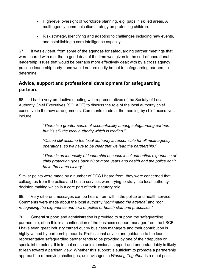- High-level oversight of workforce planning, e.g. gaps in skilled areas. A multi-agency communication strategy on protecting children.
- Risk strategy, identifying and adapting to challenges including new events, and establishing a core intelligence capacity.

67. It was evident, from some of the agendas for safeguarding partner meetings that were shared with me, that a good deal of the time was given to the sort of operational leadership issues that would be perhaps more effectively dealt with by a cross agency practice leadership body - and would not ordinarily be put to safeguarding partners to determine.

### <span id="page-24-0"></span>**Advice, support and professional development for safeguarding partners**

68. I had a very productive meeting with representatives of the Society of Local Authority Chief Executives (SOLACE) to discuss the role of the local authority chief executive in the new arrangements. Comments made at the meeting by chief executives include:

> "*There is a greater sense of accountability among safeguarding partnersbut it's still the local authority which is leading."*

> *"Ofsted still assume the local authority is responsible for all multi-agency operations, so we have to be clear that we lead the partnership."*

*"There is an inequality of leadership because local authorities experience of child protection goes back 50 or more years and health and the police don't have the same history*."

Similar points were made by a number of DCS I heard from, they were concerned that colleagues from the police and health services were trying to stray into local authority decision making which is a core part of their statutory role.

69. Very different messages can be heard from within the police and health service. Comments were made about the local authority "*dominating the agenda*" and "*not recognising the experience and skill of police or health staff and processes*."

70. General support and administration is provided to support the safeguarding partnership, often this is a continuation of the business support manager from the LSCB. I have seen great industry carried out by business managers and their contribution is highly valued by partnership boards. Professional advice and guidance to the lead representative safeguarding partner tends to be provided by one of their deputies or specialist directors. It is in that sense unidimensional support and understandably is likely to lean toward a partisan view. Whether this support is sufficient to promote a partnership approach to remedying challenges, as envisaged in *Working Together*, is a moot point.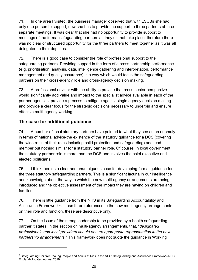71. In one area I visited, the business manager observed that with LSCBs she had only one person to support, now she has to provide the support to three partners at three separate meetings. It was clear that she had no opportunity to provide support to meetings of the formal safeguarding partners as they did not take place, therefore there was no clear or structured opportunity for the three partners to meet together as it was all delegated to their deputies.

72. There is a good case to consider the role of professional support to the safeguarding partners. Providing support in the form of a cross partnership performance (e.g. prioritisation, analysis, data, intelligence gathering and interpretation, performance management and quality assurance) in a way which would focus the safeguarding partners on their cross-agency role and cross-agency decision making.

73. A professional advisor with the ability to provide that cross-sector perspective would significantly add value and impact to the specialist advice available in each of the partner agencies; provide a process to mitigate against single agency decision making and provide a clear focus for the strategic decisions necessary to underpin and ensure effective multi-agency working.

### <span id="page-25-0"></span>**The case for additional guidance**

74. A number of local statutory partners have pointed to what they see as an anomaly in terms of national advice-the existence of the statutory guidance for a DCS (covering the wide remit of their roles including child protection and safeguarding) and lead member but nothing similar for a statutory partner role. Of course, in local government the statutory partner role is more than the DCS and involves the chief executive and elected politicians.

75. I think there is a clear and unambiguous case for developing formal guidance for the three statutory safeguarding partners. This is a significant lacuna in our intelligence and knowledge about the way in which the new multi-agency arrangements are being introduced and the objective assessment of the impact they are having on children and families.

76. There is little guidance from the NHS in its Safeguarding Accountability and Assurance Framework<sup>9</sup>. It has three references to the new multi-agency arrangements on their role and function, these are descriptive only.

77. On the issue of the strong leadership to be provided by a health safeguarding partner it states, in the section on multi-agency arrangements, that, "*designated professionals and local providers should ensure appropriate representation in the new partnership arrangements*." This framework does not quote the guidance in Working

<span id="page-25-1"></span><sup>9</sup> Safeguarding Children, Young People and Adults at Risk in the NHS: Safeguarding and Assurance Framework-NHS England-Updated August 2019.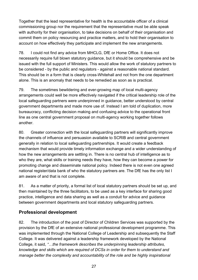Together that the lead representative for health is the accountable officer of a clinical commissioning group nor the requirement that the representative must be able speak with authority for their organisation, to take decisions on behalf of their organisation and commit them on policy resourcing and practice matters, and to hold their organisation to account on how effectively they participate and implement the new arrangements.

78. I could not find any advice from MHCLG, DfE or Home Office. It does not necessarily require full blown statutory guidance, but it should be comprehensive and be issued with the full support of Ministers. This would allow the work of statutory partners to be considered - by the public and regulators - against a reasonable national standard. This should be in a form that is clearly cross-Whitehall and not from the one department alone. This is an anomaly that needs to be remedied as soon as is practical.

79. The sometimes bewildering and ever-growing map of local multi-agency arrangements could well be more effectively navigated if the critical leadership role of the local safeguarding partners were underpinned in guidance, better understood by central government departments and made more use of. Instead I am told of duplication, more bureaucracy, conflicting decision making and confusing advice to the operational front line as one central government proposal on multi-agency working together follows another.

80. Greater connection with the local safeguarding partners will significantly improve the channels of influence and persuasion available to SCRIB and central government generally in relation to local safeguarding partnerships. It would create a feedback mechanism that would provide timely information exchange and a wider understanding of how the new arrangements are settling in. There is no central hub of intelligence as to who they are, what skills or training needs they have, how they can become a power for promoting change and disseminate national policy. Indeed there is not even one agreed national register/data bank of who the statutory partners are. The DfE has the only list I am aware of and that is not complete.

81. As a matter of priority, a formal list of local statutory partners should be set up, and then maintained by the three facilitators, to be used as a key interface for sharing good practice, intelligence and data sharing as well as a conduit for advice and guidance between government departments and local statutory safeguarding partners.

### <span id="page-26-0"></span>**Professional development**

82. The introduction of the post of Director of Children Services was supported by the provision by the DfE of an extensive national professional development programme. This was implemented through the National College of Leadership and subsequently the Staff College. It was delivered against a leadership framework developed by the National College, it said, *"…the framework describes the underpinning leadership attributes, knowledge and skills which are required of DCSs in order for them to understand and manage better the complexity and accountability of the role and be highly inspirational*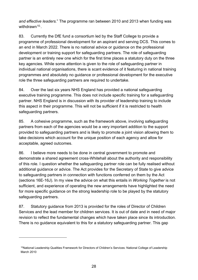*and effective leaders.*" The programme ran between 2010 and 2013 when funding was withdrawn<sup>[10](#page-27-0)</sup> .

83. Currently the DfE fund a consortium led by the Staff College to provide a programme of professional development for an aspirant and serving DCS. This comes to an end in March 2022. There is no national advice or guidance on the professional development or training support for safeguarding partners. The role of safeguarding partner is an entirely new one which for the first time places a statutory duty on the three key agencies. While some attention is given to the role of safeguarding partner in individual national organisations, there is scant evidence of it featuring in national training programmes and absolutely no guidance or professional development for the executive role the three safeguarding partners are required to undertake.

84. Over the last six years NHS England has provided a national safeguarding executive training programme. This does not include specific training for a safeguarding partner. NHS England is in discussion with its provider of leadership training to include this aspect in their programme. This will not be sufficient if it is restricted to health safeguarding partners.

85. A cohesive programme, such as the framework above, involving safeguarding partners from each of the agencies would be a very important addition to the support provided to safeguarding partners and is likely to promote a joint vision allowing them to take decisions which account for the unique position of each agency and allow for acceptable, agreed outcomes.

86. I believe more needs to be done in central government to promote and demonstrate a shared agreement cross-Whitehall about the authority and responsibility of this role. I question whether the safeguarding partner role can be fully realised without additional guidance or advice. The Act provides for the Secretary of State to give advice to safeguarding partners in connection with functions conferred on them by the Act (sections 16E-16J). In my view the advice on what this entails in *Working Together* is not sufficient, and experience of operating the new arrangements have highlighted the need for more specific guidance on the strong leadership role to be played by the statutory safeguarding partners.

87. Statutory guidance from 2013 is provided for the roles of Director of Children Services and the lead member for children services. It is out of date and in need of major revision to reflect the fundamental changes which have taken place since its introduction. There is no guidance equivalent to this for a statutory safeguarding partner. This gap

<span id="page-27-0"></span><sup>10</sup>National Leadership Qualities Framework for Directors of Children's Services: National College of Leadership March 2010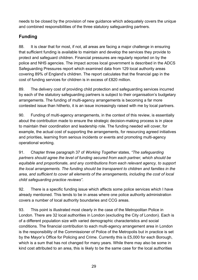needs to be closed by the provision of new guidance which adequately covers the unique and combined responsibilities of the three statutory safeguarding partners.

### <span id="page-28-0"></span>**Funding**

88. It is clear that for most, if not, all areas are facing a major challenge in ensuring that sufficient funding is available to maintain and develop the services they provide to protect and safeguard children. Financial pressures are regularly reported on by the police and NHS agencies. The impact across local government is described in the ADCS Safeguarding Pressures report which examined data from 129 local authority areas covering 89% of England's children. The report calculates that the financial gap in the cost of funding services for children is in excess of £820 million.

89. The delivery cost of providing child protection and safeguarding services incurred by each of the statutory safeguarding partners is subject to their organisation's budgetary arrangements. The funding of multi-agency arrangements is becoming a far more contested issue than hitherto, it is an issue increasingly raised with me by local partners.

90. Funding of multi-agency arrangements, in the context of this review, is essentially about the contribution made to ensure the strategic decision-making process is in place to maintain their coordination and leadership role. The funding needed will cover, for example, the actual cost of supporting the arrangements, for resourcing agreed initiatives and priorities, learning from serious incidents or events and promoting multi-agency operational working.

91. Chapter three paragraph 37 of *Working Together* states, *"The safeguarding partners should agree the level of funding secured from each partner, which should be equitable and proportionate, and any contributions from each relevant agency, to support the local arrangements. The funding should be transparent to children and families in the area, and sufficient to cover all elements of the arrangements, including the cost of local child safeguarding practice reviews"*.

92. There is a specific funding issue which affects some police services which I have already mentioned. This tends to be in areas where one police authority administration covers a number of local authority boundaries and CCG areas.

93. This point is illustrated most clearly in the case of the Metropolitan Police in London. There are 32 local authorities in London (excluding the City of London). Each is of a different population size with varied demographic characteristics and social conditions. The financial contribution to each multi-agency arrangement area in London is the responsibility of the Commissioner of Police of the Metropolis but in practice is set by the Mayor's Office for Policing and Crime. Currently this is £5,000 for each Borough, which is a sum that has not changed for many years. While there may also be some in kind cost attributed to an area, this is likely to be the same case for the local authorities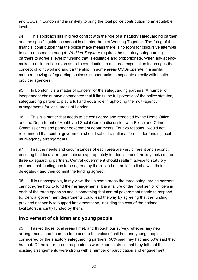and CCGs in London and is unlikely to bring the total police contribution to an equitable level.

94. This approach sits in direct conflict with the role of a statutory safeguarding partner and the specific guidance set out in chapter three of Working Together. The fixing of the financial contribution that the police make means there is no room for discursive attempts to set a reasonable budget. *Working Together* requires the statutory safeguarding partners to agree a level of funding that is equitable and proportionate. When any agency makes a unilateral decision as to its contribution to a shared expectation it damages the concept of joint working and partnership. In some areas CCGs operate in a similar manner, leaving safeguarding business support units to negotiate directly with health provider agencies.

95. In London it is a matter of concern for the safeguarding partners. A number of independent chairs have commented that it limits the full potential of the police statutory safeguarding partner to play a full and equal role in upholding the multi-agency arrangements for local areas of London.

96. This is a matter that needs to be considered and remedied by the Home Office and the Department of Health and Social Care in discussion with Police and Crime Commissioners and partner government departments. For two reasons I would not recommend that central government should set out a national formula for funding local multi-agency arrangements.

97. First the needs and circumstances of each area are very different and second, ensuring that local arrangements are appropriately funded is one of the key tasks of the three safeguarding partners. Central government should reaffirm advice to statutory partners that funding has to be agreed by them - and not be left in limbo with their delegates - and then commit the funding agreed.

98. It is unacceptable, in my view, that in some areas the three safeguarding partners cannot agree how to fund their arrangements. It is a failure of the most senior officers in each of the three agencies and is something that central government needs to respond to. Central government departments could lead the way by agreeing that the funding provided nationally to support implementation, including the cost of the national facilitators, is jointly funded by them.

### <span id="page-29-0"></span>**Involvement of children and young people**

99. I asked those local areas I met, and through our survey, whether any new arrangements had been made to ensure the voice of children and young people is considered by the statutory safeguarding partners, 50% said they had and 50% said they had not. Of the latter, group respondents were keen to stress that they felt that their existing arrangements were strong with a number of participation and engagement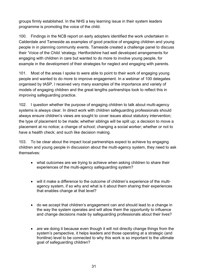groups firmly established. In the NHS a key learning issue in their system leaders programme is promoting the voice of the child.

100. Findings in the NCB report on early adopters identified the work undertaken in Calderdale and Tameside as examples of good practice of engaging children and young people in in planning community events. Tameside created a challenge panel to discuss their 'Voice of the Child 'strategy. Hertfordshire had well developed arrangements for engaging with children in care but wanted to do more to involve young people, for example in the development of their strategies for neglect and engaging with parents.

101. Most of the areas I spoke to were able to point to their work of engaging young people and wanted to do more to improve engagement. In a webinar of 100 delegates organised by tASP, I received very many examples of the importance and variety of models of engaging children and the great lengths partnerships took to reflect this in improving safeguarding practice.

102. I question whether the purpose of engaging children to talk about multi-agency systems is always clear. In direct work with children safeguarding professionals should always ensure children's views are sought to cover issues about statutory intervention; the type of placement to be made; whether siblings will be split up; a decision to move a placement at no notice; a change of school; changing a social worker; whether or not to have a health check; and such like decision making.

103. To be clear about the impact local partnerships expect to achieve by engaging children and young people in discussion about the multi-agency system, they need to ask themselves:

- what outcomes are we trying to achieve when asking children to share their experiences of the multi-agency safeguarding system?
- will it make a difference to the outcome of children's experience of the multiagency system, if so why and what is it about them sharing their experiences that enables change at that level?
- do we accept that children's engagement can and should lead to a change in the way the system operates and will allow them the opportunity to influence and change decisions made by safeguarding professionals about their lives?
- are we doing it because even though it will not directly change things from the system's perspective, it helps leaders and those operating at a strategic (and frontline) level to be connected to why this work is so important to the ultimate goal of safeguarding children?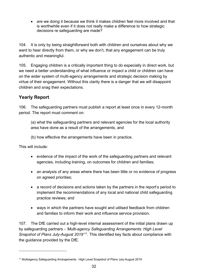• are we doing it because we think it makes children feel more involved and that is worthwhile even if it does not really make a difference to how strategic decisions re safeguarding are made?

104. It is only by being straightforward both with children and ourselves about why we want to hear directly from them, or why we don't, that any engagement can be truly authentic and meaningful.

105. Engaging children is a critically important thing to do especially in direct work, but we need a better understanding of what influence or impact a child or children can have on the wider system of multi-agency arrangements and strategic decision making by virtue of their engagement. Without this clarity there is a danger that we will disappoint children and snag their expectations.

### <span id="page-31-0"></span>**Yearly Report**

106. The safeguarding partners must publish a report at least once in every 12-month period. The report must comment on:

(a) what the safeguarding partners and relevant agencies for the local authority area have done as a result of the arrangements, and

(b) how effective the arrangements have been in practice.

This will include:

- evidence of the impact of the work of the safeguarding partners and relevant agencies, including training, on outcomes for children and families;
- an analysis of any areas where there has been little or no evidence of progress on agreed priorities;
- a record of decisions and actions taken by the partners in the report's period to implement the recommendations of any local and national child safeguarding practice reviews; and
- ways in which the partners have sought and utilised feedback from children and families to inform their work and influence service provision.

107. The DfE carried out a high-level internal assessment of the initial plans drawn up by safeguarding partners - *'Multi-agency Safeguarding Arrangements: High Level Snapshot of Plans July-August 2019'[11](#page-31-1)*. This identified key facts about compliance with the guidance provided by the DfE.

<span id="page-31-1"></span><sup>11</sup> Multiagency Safeguarding Arrangements: High Level Snapshot of Plans July-August 2019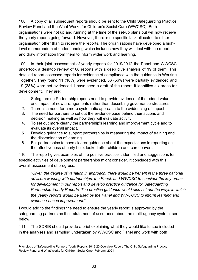108. A copy of all subsequent reports should be sent to the Child Safeguarding Practice Review Panel and the What Works for Children's Social Care (WWCSC). Both organisations were not up and running at the time of the set-up plans but will now receive the yearly reports going forward. However, there is no specific task allocated to either organisation other than to receive the reports. The organisations have developed a highlevel memorandum of understanding which includes how they will deal with the reports and draw information from them to inform wider work and learning.

109. In their joint assessment of yearly reports for 2019/20[12](#page-32-0) the Panel and WWCSC undertook a desktop review of 68 reports with a deep dive analysis of 19 of them. This detailed report assessed reports for evidence of compliance with the guidance in Working Together. They found 11 (16%) were evidenced, 36 (56%) were partially evidenced and 19 (28%) were not evidenced. I have seen a draft of the report, it identifies six areas for development. They are:

- 1. Safeguarding Partnership reports need to provide evidence of the added value and impact of new arrangements rather than describing governance structures.
- 2. There is a need for a more systematic approach to the evidencing of impact.
- 3. The need for partners to set out the evidence base behind their actions and decision making as well as how they will evaluate activity.
- 4. To set out more clearly the partnership's learning and improvement cycle and to evaluate its overall impact.
- 5. Develop guidance to support partnerships in measuring the impact of training and the dissemination of learning.
- 6. For partnerships to have clearer guidance about the expectations in reporting on the effectiveness of early help, looked after children and care leavers.

110. The report gives examples of the positive practice it identified and suggestions for specific activities of development partnerships might consider. It concluded with this overall assessment of progress:

"*Given the degree of variation in approach, there would be benefit in the three national advisers working with partnerships, the Panel, and WWCSC to consider the key areas for development in our report and develop practice guidance for Safeguarding Partnership Yearly Reports. The practice guidance would also set out the ways in which the yearly reports would be used by the Panel and WWCCSC to inform learning and evidence-based improvement*."

I would add to the findings the need to ensure the yearly report is approved by the safeguarding partners as their statement of assurance about the multi-agency system, see below.

111. The SCRIB should provide a brief explaining what they would like to see included in the analyses and sampling undertaken by WWCSC and Panel and work with both

<span id="page-32-0"></span><sup>&</sup>lt;sup>12</sup> Analysis of Safeguarding Partners Yearly Reports 2019-20 Overview Report. The Child Safeguarding Practice Review Panel and What Works for Children Social Care- February 2021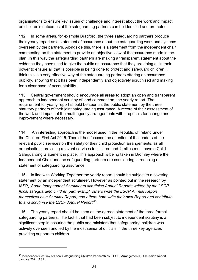organisations to ensure key issues of challenge and interest about the work and impact on children's outcomes of the safeguarding partners can be identified and promoted.

112. In some areas, for example Bradford, the three safeguarding partners produce their yearly report as a statement of assurance about the safeguarding work and systems overseen by the partners. Alongside this, there is a statement from the independent chair commenting on the statement to provide an objective view of the assurance made in the plan. In this way the safeguarding partners are making a transparent statement about the evidence they have used to give the public an assurance that they are doing all in their power to ensure all that is possible is being done to protect and safeguard children. I think this is a very effective way of the safeguarding partners offering an assurance publicly, showing that it has been independently and objectively scrutinised and making for a clear base of accountability.

113. Central government should encourage all areas to adopt an open and transparent approach to independent scrutiny of, and comment on, the yearly report. The requirement for yearly report should be seen as the public statement by the three statutory partners of their joint safeguarding assurance. A record of their assessment of the work and impact of the multi-agency arrangements with proposals for change and improvement where necessary.

114. An interesting approach is the model used in the Republic of Ireland under the [Children First Act 2015.](http://www.irishstatutebook.ie/eli/2015/act/36/enacted/en/pdf) There it has focused the attention of the leaders of the relevant public services on the safety of their child protection arrangements, as all organisations providing [relevant services](http://www.irishstatutebook.ie/eli/2015/act/36/schedule/1/enacted/en/html) to children and families must have a Child Safeguarding Statement in place. This approach is being taken in Bromley where the Independent Chair and the safeguarding partners are considering introducing a statement of safeguarding assurance.

115. In line with Working Together the yearly report should be subject to a covering statement by an independent scrutineer. However as pointed out in the research by tASP, *'Some Independent Scrutineers scrutinise Annual Reports written by the LSCP [local safeguarding children partnership], others write the LSCP Annual Report themselves as a Scrutiny Report, and others both write their own Report and contribute to and scrutinise the LSCP Annual Report'*[13](#page-33-0). .

116. The yearly report should be seen as the agreed statement of the three formal safeguarding partners. The fact it that had been subject to independent scrutiny is a significant step in assuring the public and ministers that safeguarding children was actively overseen and led by the most senior of officials in the three key agencies providing support to children.

<span id="page-33-0"></span><sup>&</sup>lt;sup>13</sup> Independent Scrutiny of Local Safeguarding Children Partnerships (LSCP) Arrangements, Discussion Report January 2021 tASP.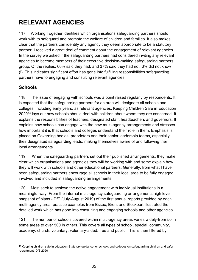# <span id="page-34-0"></span>**RELEVANT AGENCIES**

117. Working Together identifies which organisations safeguarding partners should work with to safeguard and promote the welfare of children and families. It also makes clear that the partners can identify any agency they deem appropriate to be a statutory partner. I received a great deal of comment about the engagement of relevant agencies. In the survey we asked if the safeguarding partners had considered inviting any relevant agencies to become members of their executive decision-making safeguarding partners group. Of the replies, 60% said they had, and 37% said they had not, 3% did not know (!). This indicates significant effort has gone into fulfilling responsibilities safeguarding partners have to engaging and consulting relevant agencies.

### <span id="page-34-1"></span>**Schools**

118. The issue of engaging with schools was a point raised regularly by respondents. It is expected that the safeguarding partners for an area will designate all schools and colleges, including early years, as relevant agencies. Keeping Children Safe in Education 2020<sup>[14](#page-34-2)</sup> lays out how schools should deal with children about whom they are concerned. It explains the responsibilities of teachers, designated staff, headteachers and governors. It explains how schools can engage with the new multi-agency arrangements and stresses how important it is that schools and colleges understand their role in them. Emphasis is placed on Governing bodies, proprietors and their senior leadership teams, especially their designated safeguarding leads, making themselves aware of and following their local arrangements.

119. When the safeguarding partners set out their published arrangements, they make clear which organisations and agencies they will be working with and some explain how they will work with schools and other educational partners. Generally, from what I have seen safeguarding partners encourage all schools in their local area to be fully engaged, involved and included in safeguarding arrangements.

120. Most seek to achieve the active engagement with individual institutions in a meaningful way. From the internal multi-agency safeguarding arrangements high level snapshot of plans - DfE (July-August 2019) of the first annual reports provided by each multi-agency area, practice examples from Essex, Brent and Stockport illustrated the detailed work which has gone into consulting and engaging schools and other agencies.

121. The number of schools covered within multi-agency areas varies widely-from 50 in some areas to over 500 in others. This covers all types of school, special, community, academy, church, voluntary, voluntary-aided, free and public. This is then filtered by

<span id="page-34-2"></span><sup>&</sup>lt;sup>14</sup> Keeping children safe in education-Statutory guidance for schools and colleges on safeguarding children and safer recruitment. DfE 2020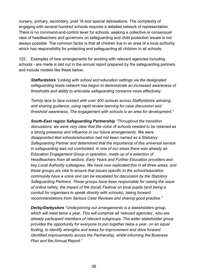nursery, primary, secondary, post 16 and special delineations. The complexity of engaging with several hundred schools requires a detailed network of representation. There is no command-and-control lever for schools, seeking a collective or consensual view of headteachers and governors on safeguarding and child protection issues is not always possible. The common factor is that all children live in an area of a local authority which has responsibility for protecting and safeguarding all children in all schools.

122. Examples of how arrangements for working with relevant agencies-including schools - are made is laid out in the annual report prepared by the safeguarding partners and include models like these below:

*Staffordshire "Linking with school and education settings via the designated safeguarding leads network has begun to demonstrate an increased awareness of thresholds and ability to articulate safeguarding concerns more effectively.*

*Termly face to face contact with over 400 schools across Staffordshire advising and sharing guidance, using rapid review learning for case discussion and threshold awareness. The engagement with schools is an area for development."*

*South-East region Safeguarding Partnership "Throughout the transition discussions, we were very clear that the voice of schools needed to be retained as a strong presence and influence in our future arrangements. We were disappointed that schools/education had not been named as a Statutory Safeguarding Partner and determined that the importance of this universal service in safeguarding was not overlooked. In one of our areas there was already an Education Engagement Group in operation, made up of a selection of Headteachers from all sectors, Early Years and Further Education providers and key Local Authority colleagues. We have now replicated this in all three areas, and these groups are vital to ensure that issues specific to the school/education community have a voice and can be escalated for discussion by the Statutory Safeguarding Partners. These groups have been responsible for raising the issue of online safety, the impact of the (local) Festival on local pupils (and being a conduit for organisers to speak directly with schools), taking forward recommendations from Serious Case Reviews and sharing good practice."*

*Derby/Derbyshire "Underpinning our arrangements is a stakeholders group, which will meet twice a year. This will comprise all 'relevant agencies', who are already participant members of relevant subgroups. The wider stakeholder group provides the opportunity for everyone to join together twice a year, on an equal footing, to identify strengths and areas for improvement and drive forward identified improvements across the Partnership, whilst informing the Business Plan and the Annual Report."*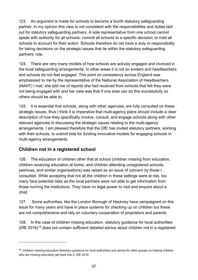123. An argument is made for schools to become a fourth statutory safeguarding partner. In my opinion this view is not consistent with the responsibilities and duties laid out for statutory safeguarding partners. A sole representative from one school cannot speak with authority for all schools; commit all schools to a specific decision; or hold all schools to account for their action. Schools therefore do not have a duty or responsibility for taking decisions on the strategic issues that lie within the statutory safeguarding partners' role.

124. There are very many models of how schools are actively engaged and involved in the local safeguarding arrangements. In other areas it is not so evident and headteachers and schools do not feel engaged. This point on consistency across England was emphasised to me by the representative of the National Association of Headteachers (NAHT) I met, she told me of reports she had received from schools that felt they were not being engaged with and her view was that if one area can do this successfully so others should be able to.

125. It is essential that schools, along with other agencies, are fully consulted on these strategic issues, thus I think it is imperative that multi-agency plans should include a clear description of how they specifically involve, consult, and engage schools along with other relevant agencies in discussing the strategic issues relating to the multi-agency arrangements. I am pleased therefore that the DfE has invited statutory partners, working with their schools, to submit bids for funding innovative models for engaging schools in multi-agency arrangements.

### **Children not in a registered school**

126. The education of children other that at school (children missing from education, children receiving education at home, and children attending unregistered schools, yeshivas, and similar organisations) was raised as an issue of concern by those I consulted. While accepting that not all the children in these settings were at risk, too many face potential risks as the local partners were not able to get information from those running the institutions. They have no legal power to visit and enquire about a child.

127. Some authorities, like the London Borough of Hackney have campaigned on this issue for many years and have in place systems for checking up on children but these are not comprehensive and rely on voluntary cooperation of proprietors and parents.

128. In the case of children missing education, statutory guidance for local authorities (DfE 2016)[15](#page-36-0) does not contain sufficient detailed advice about children not in a registered

<span id="page-36-0"></span>**<sup>15</sup>** Children missing education-Statutory guidance for local authorities and advice for other groups on helping children who are missing education get back into it, DfE 2016.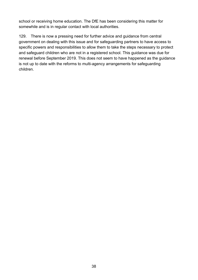school or receiving home education. The DfE has been considering this matter for somewhile and is in regular contact with local authorities.

129. There is now a pressing need for further advice and guidance from central government on dealing with this issue and for safeguarding partners to have access to specific powers and responsibilities to allow them to take the steps necessary to protect and safeguard children who are not in a registered school. This guidance was due for renewal before September 2019. This does not seem to have happened as the guidance is not up to date with the reforms to multi-agency arrangements for safeguarding children.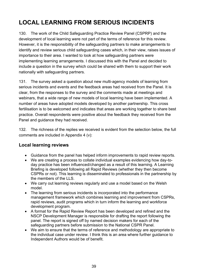# **LOCAL LEARNING FROM SERIOUS INCIDENTS**

130. The work of the Child Safeguarding Practice Review Panel (CSPRP) and the development of local learning were not part of the terms of reference for this review. However, it is the responsibility of the safeguarding partners to make arrangements to identify and review serious child safeguarding cases which, in their view, raises issues of importance to their area. I wanted to look at how safeguarding partners were implementing learning arrangements. I discussed this with the Panel and decided to include a question in the survey which could be shared with them to support their work nationally with safeguarding partners.

131. The survey asked a question about new multi-agency models of learning from serious incidents and events and the feedback areas had received from the Panel. It is clear, from the responses to the survey and the comments made at meetings and webinars, that a wide range of new models of local learning have been implemented. A number of areas have adopted models developed by another partnership. This cross fertilisation is to be welcomed and indicates that areas are working together to share best practice. Overall respondents were positive about the feedback they received from the Panel and guidance they had received.

132. The richness of the replies we received is evident from the selection below, the full comments are included in Appendix 4 (v):

### **Local learning reviews**

- Guidance from the panel has helped inform improvements to rapid review reports.
- We are creating a process to collate individual examples evidencing how day-today practice has been influenced/changed as a result of this learning. A Learning Briefing is developed following all Rapid Reviews (whether they then become CSPRs or not). This learning is disseminated to professionals in the partnership by the members of the LLS.
- We carry out learning reviews regularly and use a model based on the Welsh model.
- The learning from serious incidents is incorporated into the performance management framework which combines learning and improvement from CSPRs, rapid reviews, audit programs which in turn inform the learning and workforce development program.
- A format for the Rapid Review Report has been developed and refined and the NSCP Development Manager is responsible for drafting the report following the panel. The report is signed off by named decision makers for each of the safeguarding partners before submission to the National CSPR Panel.
- We aim to ensure that the terms of reference and methodology are appropriate to the individual case under review. I think this is an area where further guidance to Independent Authors would be of benefit.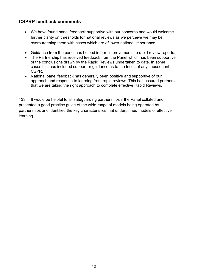## **CSPRP feedback comments**

- We have found panel feedback supportive with our concerns and would welcome further clarity on thresholds for national reviews as we perceive we may be overburdening them with cases which are of lower national importance.
- Guidance from the panel has helped inform improvements to rapid review reports.
- The Partnership has received feedback from the Panel which has been supportive of the conclusions drawn by the Rapid Reviews undertaken to date. In some cases this has included support or guidance as to the focus of any subsequent CSPR.
- National panel feedback has generally been positive and supportive of our approach and response to learning from rapid reviews. This has assured partners that we are taking the right approach to complete effective Rapid Reviews.

133. It would be helpful to all safeguarding partnerships if the Panel collated and presented a good practice guide of the wide range of models being operated by partnerships and identified the key characteristics that underpinned models of effective learning.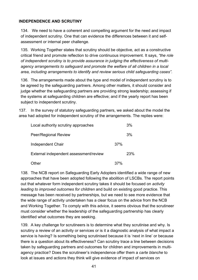#### **INDEPENDENCE AND SCRUTINY**

134. We need to have a coherent and compelling argument for the need and impact of independent scrutiny. One that can evidence the differences between it and selfassessment or internal peer challenge.

135. Working Together states that scrutiny should be objective, act as a constructive critical friend and promote reflection to drive continuous improvement. It says, *"the role of independent scrutiny is to provide assurance in judging the effectiveness of multiagency arrangements to safeguard and promote the welfare of all children in a local area, including arrangements to identify and review serious child safeguarding cases".*

136. The arrangements made about the type and model of independent scrutiny is to be agreed by the safeguarding partners. Among other matters, it should consider and judge whether the safeguarding partners are providing strong leadership; assessing if the systems at safeguarding children are effective; and if the yearly report has been subject to independent scrutiny.

137. In the survey of statutory safeguarding partners, we asked about the model the area had adopted for independent scrutiny of the arrangements. The replies were:

| Local authority scrutiny approaches    |     | 3%  |
|----------------------------------------|-----|-----|
| Peer/Regional Review                   |     | 3%  |
| Independent Chair                      | 37% |     |
| External independent assessment/review |     | 23% |
| Other                                  | 37% |     |

138. The NCB report on Safeguarding Early Adopters identified a wide range of new approaches that have been adopted following the abolition of LSCBs. The report points out that whatever form independent scrutiny takes it should be focused on *activity leading to improved outcomes for children* and build on existing good practice. This message has been received by partnerships, but we need to see more evidence that the wide range of activity undertaken has a clear focus on the advice from the NCB and Working Together. To comply with this advice, it seems obvious that the scrutineer must consider whether the leadership of the safeguarding partnership has clearly identified what outcomes they are seeking.

139. A key challenge for scrutineers is to determine what they scrutinise and why. Is scrutiny a review of an activity or services or is it a diagnostic analysis of what impact a service is having? Is something being scrutinised because it is 'next in line' or because there is a question about its effectiveness? Can scrutiny trace a line between decisions taken by safeguarding partners and outcomes for children and improvements in multiagency practice? Does the scrutineer's independence offer them a *carte blanche* to look at issues and actions they think will give evidence of impact of services on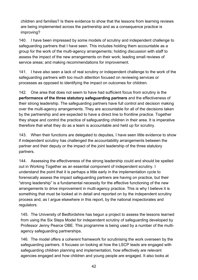children and families? Is there evidence to show that the lessons from learning reviews are being implemented across the partnership and as a consequence practice is improving?

140. I have been impressed by some models of scrutiny and independent challenge to safeguarding partners that I have seen. This includes holding them accountable as a group for the work of the multi-agency arrangements; holding discussion with staff to assess the impact of the new arrangements on their work; leading small reviews of service areas; and making recommendations for improvement.

141. I have also seen a lack of real scrutiny or independent challenge to the work of the safeguarding partners with too much attention focused on reviewing services or processes as opposed to identifying the impact on outcomes for children.

142. One area that does not seem to have had sufficient focus from scrutiny is the **performance of the three statutory safeguarding partners** and the effectiveness of their strong leadership. The safeguarding partners have full control and decision making over the multi-agency arrangements. They are accountable for all of the decisions taken by the partnership and are expected to have a direct line to frontline practice. Together they shape and control the practice of safeguarding children in their area. It is imperative therefore that what they do as a team is accountable and held up for scrutiny.

143. When their functions are delegated to deputies, I have seen little evidence to show if independent scrutiny has challenged the accountability arrangements between the partner and their deputy or the impact of the joint leadership of the three statutory partners.

144. Assessing the effectiveness of the strong leadership could and should be spelled out in Working Together as an essential component of independent scrutiny. I understand the point that it is perhaps a little early in the implementation cycle to forensically assess the impact safeguarding partners are having on practice, but their "strong leadership" is a fundamental necessity for the effective functioning of the new arrangements to drive improvement in multi-agency practice. This is why I believe it is something that must be looked at in detail and reported on by the independent scrutiny process and, as I argue elsewhere in this report, by the national inspectorates and regulators.

145. The University of Bedfordshire has begun a project to assess the lessons learned from using the Six Steps Model for independent scrutiny of safeguarding developed by Professor Jenny Pearce OBE. This programme is being used by a number of the multiagency safeguarding partnerships.

146. The model offers a coherent framework for scrutinising the work overseen by the safeguarding partners. It focuses on looking at how the LSCP leads are engaged with safeguarding children planning and implementation, how effectively are relevant agencies engaged and how children and young people are engaged. It also looks at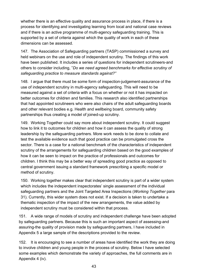whether there is an effective quality and assurance process in place, if there is a process for identifying and investigating learning from local and national case reviews and if there is an active programme of multi-agency safeguarding training. This is supported by a set of criteria against which the quality of work in each of these dimensions can be assessed.

147. The Association of Safeguarding partners (TASP) commissioned a survey and held webinars on the use and role of independent scrutiny. The findings of this work have been published. It includes a series of questions for independent scrutineers-and others to consider including, "*Do we need agreed benchmarks for effective scrutiny of safeguarding practice to measure standards against?"*

148. I argue that there must be some form of inspection-judgement-assurance of the use of independent scrutiny in multi-agency safeguarding. This will need to be measured against a set of criteria with a focus on whether or not it has impacted on better outcomes for children and families. This research also identified partnerships that had appointed scrutineers who were also chairs of the adult safeguarding boards and other relevant bodies e.g. Health and wellbeing board, community safety partnerships thus creating a model of joined-up scrutiny.

149. Working Together could say more about independent scrutiny. It could suggest how to link it to outcomes for children and how it can assess the quality of strong leadership by the safeguarding partners. More work needs to be done to collate and test the available evidence such that good practice can be promulgated cross the sector. There is a case for a national benchmark of the characteristics of independent scrutiny of the arrangements for safeguarding children based on the good examples of how it can be seen to impact on the practice of professionals and outcomes for children. I think this may be a better way of spreading good practice as opposed to central government issuing a standard framework prescribing a specific model or method of scrutiny.

150. Working together makes clear that independent scrutiny is part of a wider system which includes the independent inspectorates' single assessment of the individual safeguarding partners and the Joint Targeted Area Inspections (*Working Together* para 31). Currently, this wider system does not exist. If a decision is taken to undertake a thematic inspection of the impact of the new arrangements, the value added by independent scrutiny must be considered within that process.

151. A wide range of models of scrutiny and independent challenge have been adopted by safeguarding partners. Because this is such an important aspect of assessing-and assuring-the quality of provision made by safeguarding partners, I have included in Appendix 5 a large sample of the descriptions provided to the review.

152. It is encouraging to see a number of areas have identified the work they are doing to involve children and young people in the process of scrutiny. Below I have selected some examples which demonstrate the variety of approaches, the full comments are in Appendix 4 (iv).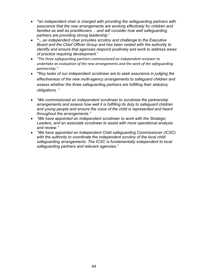- *"an independent chair is charged with providing the safeguarding partners with assurance that the new arrangements are working effectively for children and families as well as practitioners …and will consider how well safeguarding partners are providing strong leadership*."
- *"…an independent chair provides scrutiny and challenge to the Executive Board and the Chief Officer Group and has been vested with the authority to identify and ensure that agencies respond positively and work to address areas of practice requiring development*."
- *"The three safeguarding partners commissioned an independent reviewer to undertake an evaluation of the new arrangements and the work of the safeguarding partnership."*
- *"Key tasks of our independent scrutineer are to seek assurance in judging the effectiveness of the new multi-agency arrangements to safeguard children and assess whether the three safeguarding partners are fulfilling their statutory obligations. "*
- *"We commissioned an independent scrutineer to scrutinise the partnership arrangements and assess how well it is fulfilling its duty to safeguard children and young people and ensure the voice of the child is represented and heard throughout the arrangements."*
- *"We have appointed an Independent scrutineer to work with the Strategic Leaders, and an associate scrutineer to assist with more operational analysis and review."*
- *"We have appointed an Independent Child safeguarding Commissioner (ICSC) with the authority to coordinate the independent scrutiny of the local child safeguarding arrangements. The ICSC is fundamentally independent to local safeguarding partners and relevant agencies."*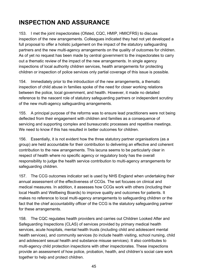## **INSPECTION AND ASSURANCE**

153. I met the joint inspectorates (Ofsted, CQC, HMIP, HMICFRS) to discuss inspection of the new arrangements. Colleagues indicated they had not yet developed a full proposal to offer a holistic judgement on the impact of the statutory safeguarding partners and the new multi-agency arrangements on the quality of outcomes for children. As of yet no request has been made by central government to the inspectorates to carry out a thematic review of the impact of the new arrangements. In single agency inspections of local authority children services, health arrangements for protecting children or inspection of police services only partial coverage of this issue is possible.

154. Immediately prior to the introduction of the new arrangements, a thematic inspection of child abuse in families spoke of the need for closer working relations between the police, local government, and health. However, it made no detailed reference to the nascent role of statutory safeguarding partners or independent scrutiny of the new multi-agency safeguarding arrangements.

155. A principal purpose of the reforms was to ensure lead practitioners were not being deflected from their engagement with children and families as a consequence of servicing and supporting complex and bureaucratic processes and repetitive meetings. We need to know if this has resulted in better outcomes for children.

156. Essentially, it is not evident how the three statutory partner organisations (as a group) are held accountable for their contribution to delivering an effective and coherent contribution to the new arrangements. This lacuna seems to be particularly clear in respect of health where no specific agency or regulatory body has the overall responsibility to judge the health service contribution to multi-agency arrangements for safeguarding children.

157. The CCG outcomes indicator set is used by NHS England when undertaking their annual assessment of the effectiveness of CCGs. The set focuses on clinical and medical measures. In addition, it assesses how CCGs work with others (including their local Health and Wellbeing Boards) to improve quality and outcomes for patients. It makes no reference to local multi-agency arrangements to safeguarding children or the fact that the chief accountability officer of the CCG is the statutory safeguarding partner for these arrangements.

158. The CQC regulates health providers and carries out Children Looked After and Safeguarding Inspections (CLAS) of services provided by primary medical health services, acute hospitals, mental health trusts (including child and adolescent mental health services), and community services (to include health visiting, school nursing, child and adolescent sexual health and substance misuse services). It also contributes to multi-agency child protection inspections with other inspectorates. These inspections provide an assessment of how police, probation, health, and children's social care work together to help and protect children.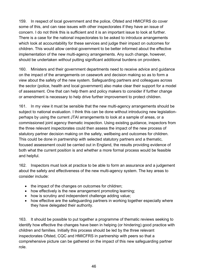159. In respect of local government and the police, Ofsted and HMICFRS do cover some of this, and can rase issues with other inspectorates if they have an issue of concern. I do not think this is sufficient and it is an important issue to look at further. There is a case for the national inspectorates to be asked to introduce arrangements which look at accountability for these services and judge their impact on outcomes for children. This would allow central government to be better informed about the effective implementation of the new multi-agency arrangements. Any such change, however, should be undertaken *without* putting significant additional burdens on providers.

160. Ministers and their government departments need to receive advice and guidance on the impact of the arrangements on casework and decision making so as to form a view about the safety of the new system. Safeguarding partners and colleagues across the sector (police, health and local government) also make clear their support for a model of assessment. One that can help them and policy makers to consider if further change or amendment is necessary to help drive further improvement to protect children.

161. In my view it must be sensible that the new multi-agency arrangements should be subject to national evaluation. I think this can be done without introducing new legislationperhaps by using the current JTAI arrangements to look at a sample of areas, or a commissioned joint agency thematic inspection. Using existing guidance, inspectors from the three relevant inspectorates could then assess the impact of the new process of statutory partner decision making on the safety, wellbeing and outcomes for children. This could be done in partnership with selected statutory partners and a thematic, focused assessment could be carried out in England, the results providing evidence of both what the current position is and whether a more formal process would be feasible and helpful.

162. Inspectors must look at practice to be able to form an assurance and a judgement about the safety and effectiveness of the new multi-agency system. The key areas to consider include:

- the impact of the changes on outcomes for children;
- how effectively is the new arrangement promoting learning;
- how is scrutiny and independent challenge adding value;
- how effective are the safeguarding partners in working together especially where they have delegated their authority.

163. It should be possible to put together a programme of thematic reviews seeking to identify how effective the changes have been in helping (or hindering) good practice with children and families. Initially this process should be led by the three relevant inspectorates Ofsted, CQC and HMICFRS in partnership with peers so that a comprehensive picture can be gathered on the impact of this new safeguarding partner role.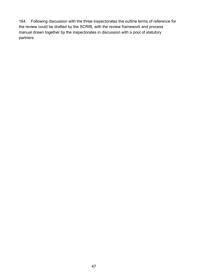164. Following discussion with the three inspectorates the outline terms of reference for the review could be drafted by the SCRIB, with the review framework and process manual drawn together by the inspectorates in discussion with a pool of statutory partners.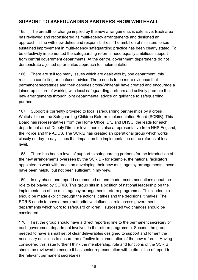## **SUPPORT TO SAFEGUARDING PARTNERS FROM WHITEHALL**

165. The breadth of change implied by the new arrangements is extensive. Each area has reviewed and reconsidered its multi-agency arrangements and designed an approach in line with new duties and responsibilities. The ambition of ministers to see sustained improvement in multi-agency safeguarding practice has been clearly stated. To be effectively implemented the safeguarding reforms need equally ambitious support from central government departments. At the centre, government departments do not demonstrate a joined up or united approach to implementation.

166. There are still too many issues which are dealt with by one department, this results in conflicting or confused advice. There needs to be more evidence that permanent secretaries and their deputies cross-Whitehall have created and encourage a joined-up culture of working with local safeguarding partners and actively promote the new arrangements through joint departmental advice on guidance to safeguarding partners.

167. Support is currently provided to local safeguarding partnerships by a cross Whitehall team-the Safeguarding Children Reform Implementation Board (SCRIB). This Board has representatives from the Home Office, DfE and DHSC, the leads for each department are at Deputy Director level there is also a representative from NHS England, the Police and the ADCS. The SCRIB has created an operational group which works closely on day-to-day issues that impact on the implementation of the reforms at local level.

168. There has been a level of support to safeguarding partners for the introduction of the new arrangements overseen by the SCRIB - for example, the national facilitators appointed to work with areas on developing their new multi-agency arrangements, these have been helpful but not been sufficient in my view.

169. In my phase one report I commented on and made recommendations about the role to be played by SCRIB. This group sits in a position of national leadership on the implementation of the multi-agency arrangements reform programme. This leadership should be made explicit through the actions it takes and the decisions it makes. The SCRIB needs to have a more authoritative, influential role across government departments which work to safeguard children. I suggested two changes should be considered.

170. First the group should have a direct reporting line to the permanent secretary of each government department involved in the reform programme. Second, the group needed to have a small set of clear deliverables designed to support and foment the necessary decisions to ensure the effective implementation of the new reforms. Having considered this issue further I think the membership, role and functions of the SCRIB should be reviewed to ensure it has senior representation with a direct line of report to the relevant permanent secretaries.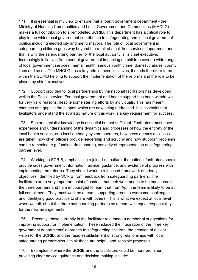171. It is essential in my view to ensure that a fourth government department - the Ministry of Housing Communities and Local Government and Communities (MHCLG) makes a full contribution to a remodelled SCRIB. This department has a critical role to play in the wider local government contribution to safeguarding and in local government politics including elected city and metro mayors. The role of local government in safeguarding children goes way beyond the remit of a children services department and that is why the safeguarding partner for the local authority is its chief executive. Increasingly initiatives from central government impacting on children cover a wide range of local government services, mental health, serious youth crime, domestic abuse, county lines and so on. The MHCLG has a key role in these initiatives, it needs therefore to be within the SCRIB helping to support the implementation of the reforms and the role to be played by chief executives.

172. Support provided to local partnerships by the national facilitators has developed well in the Police service. For local government and health support has been withdrawn for very valid reasons, despite some sterling efforts by individuals. This has meant changes and gaps in the support which are now being addressed. It is essential that facilitators understand the strategic nature of this work is a key requirement for success.

173. Sector specialist knowledge is essential but not sufficient. Facilitators must have experience and understanding of the dynamics and processes of how the entirety of the local health service, or a local authority system operates, how cross agency decisions are taken, how chief officers provide leadership and scrutiny and how stubborn problems can be remedied, e.g. funding, data sharing, seniority of representation at safeguarding partner level.

174. Working to SCRIB, emphasising a joined-up culture, the national facilitators should provide cross government information, advice, guidance, and evidence of progress with implementing the reforms. They should work to a focused framework of priority objectives, identified by SCRIB from feedback from safeguarding partners. The facilitators are a very important point of contact, but their work needs to be equal across the three partners and I am encouraged to learn that from April the team is likely to be at full compliment. They must work as a team, supporting areas to overcome challenges and identifying good practice to share with others. This is what we expect at local level when we talk about the three safeguarding partners as a team with equal responsibility for the new arrangements.

175. Recently, those currently in the facilitator role made a number of suggestions for improving support for implementation. These included the integration of the three key government departments' approach to safeguarding children; the creation of a clear vision for the SCRIB; and the rapid establishment of strong relationships with local safeguarding partnerships. I think these are helpful and sensible proposals.

176. Examples of where the SCRIB and the facilitators could be more prominent in providing clear advice, guidance and decision making include: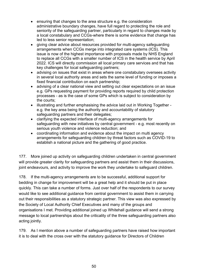- ensuring that changes to the area structure e.g. the consideration administrative boundary changes, have full regard to protecting the role and seniority of the safeguarding partner, particularly in regard to changes made by a local constabulary and CCGs-where there is some evidence that change has led to less senior representation;
- giving clear advice about resources provided for multi-agency safeguarding arrangements when CCGs merge into integrated care systems (ICS). This issue is now of the highest importance with proposals made by NHS England to replace all CCGs with a smaller number of ICS in the health service by April 2022. ICS will directly commission all local primary care services and that has key challenges for local safeguarding partners;
- advising on issues that exist in areas where one constabulary oversees activity in several local authority areas and sets the same level of funding or imposes a fixed financial contribution on each partnership;
- advising of a clear national view and setting out clear expectations on an issue e.g. GPs requesting payment for providing reports required by child protection processes - as is the case of some GPs which is subject to consideration by the courts;
- illustrating and further emphasising the advice laid out in Working Together e.g. the key area being the authority and accountability of statutory safeguarding partners and their delegates;
- clarifying the expected interface of multi-agency arrangements for safeguarding with new initiatives by central government - e.g. most recently on serious youth violence and violence reduction; and
- coordinating information and evidence about the impact on multi agency arrangements for safeguarding children by threat factors such as COVID-19 to establish a national picture and the gathering of good practice.

177. More joined up activity on safeguarding children undertaken in central government will provide greater clarity for safeguarding partners and assist them in their discussions, joint endeavours, and activity to improve the work they undertake to safeguard children.

178. If the multi-agency arrangements are to be successful, additional support for bedding in change for improvement will be a great help and it should be put in place quickly. This can take a number of forms. Just over half of the respondents to our survey would like to see additional guidance from central government to assist them in carrying out their responsibilities as a statutory strategic partner. This view was also expressed by the Society of Local Authority Chief Executives and many of the groups and organisations I met. Providing additional joined up Whitehall guidance will send a strong message to local partnerships about the criticality of the three safeguarding partners also acting jointly.

179. As I mention above a number of safeguarding partners have raised how important it is to deal with the cross over with the statutory guidance for Directors of Children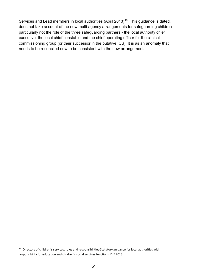Services and Lead members in local authorities (April 2013)<sup>16</sup>. This guidance is dated, does not take account of the new multi-agency arrangements for safeguarding children particularly not the role of the three safeguarding partners - the local authority chief executive, the local chief constable and the chief operating officer for the clinical commissioning group (or their successor in the putative ICS). It is as an anomaly that needs to be reconciled now to be consistent with the new arrangements.

<span id="page-50-0"></span><sup>&</sup>lt;sup>16</sup> Directors of children's services: roles and responsibilities-Statutory guidance for local authorities with responsibility for education and children's social services functions. DfE 2013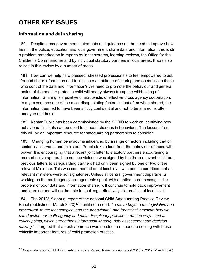# **OTHER KEY ISSUES**

## **Information and data sharing**

180. Despite cross-government statements and guidance on the need to improve how health, the police, education and local government share data and information, this is still a problem remarked on in reports by inspectorates, learning reviews, the Office for the Children's Commissioner and by individual statutory partners in local areas. It was also raised in this review by a number of areas.

181. How can we help hard pressed, stressed professionals to feel empowered to ask for and share information and to inculcate an attitude of sharing and openness in those who control the data and information? We need to promote the behaviour and general notion of the need to protect a child will nearly always trump the withholding of information. Sharing is a positive characteristic of effective cross agency cooperation. In my experience one of the most disappointing factors is that often when shared, the information deemed to have been strictly confidential and not to be shared, is often anodyne and basic.

182. Kantar Public has been commissioned by the SCRIB to work on identifying how behavioural insights can be used to support changes in behaviour. The lessons from this will be an important resource for safeguarding partnerships to consider.

183. Changing human behaviour is influenced by a range of factors including that of senior civil servants and ministers. People take a lead from the behaviour of those with power. It is encouraging that a recent joint letter to statutory partners encouraging a more effective approach to serious violence was signed by the three relevant ministers, previous letters to safeguarding partners had only been signed by one or two of the relevant Ministers. This was commented on at local level with people surprised that all relevant ministers were not signatories. Unless all central government departments working on the multi-agency arrangements speak with a united, core message - the problem of poor data and information sharing will continue to hold back improvement and learning and will not be able to challenge effectively silo practice at local level.

184. The 2018/19 annual report of the national Child Safeguarding Practice Review Panel (published 4 March 2020)<sup>[17](#page-51-0)</sup> identified a need, *"to move beyond the legislative and procedural, to the technological and the behavioural, and forensically explore how we can develop our multi-agency and multi-disciplinary practice in routine ways, and at critical points, which strengthens information sharing, risk- assessment and decision making.".* It argued that a fresh approach was needed to respond to dealing with these critically important features of child protection practice.

<span id="page-51-0"></span><sup>17</sup> Corporate report Child Safeguarding Practice Review Panel: annual report 2018 to 2019 (March 2020)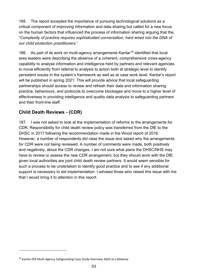185. The report accepted the importance of pursuing technological solutions as a critical component of improving information and data sharing but called for a new focus on the human factors that influenced the process of information sharing arguing that the, "*Complexity of practice requires sophisticated conversation, hard wired into the DNA of our child protection practitioners*."

[18](#page-52-0)6. As part of its work on multi-agency arrangements Kantar<sup>18</sup> identified that local area leaders were describing the absence of a coherent, comprehensive cross-agency capability to analyse information and intelligence held by partners and relevant agencies to move efficiently from referral to analysis to action both at strategic level to identify persistent issues in the system's framework as well as at case work level. Kantar's report will be published in spring 2021. This will provide advice that local safeguarding partnerships should access to review and refresh their data and information sharing practice, behaviours, and protocols to overcome blockages and move to a higher level of effectiveness in providing intelligence and quality data analysis to safeguarding partners and their front-line staff.

## **Child Death Reviews - (CDR)**

187. I was not asked to look at the implementation of reforms to the arrangements for CDR. Responsibility for child death review policy was transferred from the DfE to the DHSC in 2017 following the recommendation made in the Wood report of 2016. However, a number of respondents did raise the issue and asked why the arrangements for CDR were not being reviewed. A number of comments were made, both positively and negatively, about the CDR changes. I am not sure what plans the DHSC/NHS may have to review or assess the new CDR arrangement, but they should work with the DfE given local authorities are joint child death review partners. It would seem sensible for such a process to be undertaken to identify good practice and to see if any additional support is necessary to aid implementation. I advised those who raised this issue with me that I would bring it to attention in this report.

<span id="page-52-0"></span><sup>&</sup>lt;sup>18</sup> Kantar-DfE Multi-Agency Safeguarding-Case Study Overview 2020 at a Webinar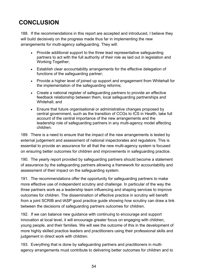## **CONCLUSION**

188. If the recommendations in this report are accepted and introduced, I believe they will build decisively on the progress made thus far in implementing the new arrangements for multi-agency safeguarding. They will:

- Provide additional support to the three lead representative safeguarding partners to act with the full authority of their role as laid out in legislation and Working Together;
- Establish clear accountability arrangements for the effective delegation of functions of the safeguarding partner;
- Provide a higher level of joined up support and engagement from Whitehall for the implementation of the safeguarding reforms;
- Create a national register of safeguarding partners to provide an effective feedback relationship between them, local safeguarding partnerships and Whitehall; and
- Ensure that future organisational or administrative changes proposed by central government, such as the transition of CCGs to ICS in Health, take full account of the central importance of the new arrangements and the leadership role of safeguarding partners in any multi-agency model affecting children.

189. There is a need to ensure that the impact of the new arrangements is tested by external judgement and assessment of national inspectorates and regulators. This is essential to provide an assurance for all that the new multi-agency system is focused on ensuring better outcomes for children and improvements in safeguarding practice.

190. The yearly report provided by safeguarding partners should become a statement of assurance by the safeguarding partners allowing a framework for accountability and assessment of their impact on the safeguarding system.

191. The recommendations offer the opportunity for safeguarding partners to make more effective use of independent scrutiny and challenge. In particular of the way the three partners work as a leadership team influencing and shaping services to improve outcomes for children. The dissemination of effective practice in scrutiny will benefit from a joint SCRIB and tASP good practice guide showing how scrutiny can draw a link between the decisions of safeguarding partners outcomes for children.

192. If we can balance new guidance with continuing to encourage and support innovation at local level, it will encourage greater focus on engaging with children, young people, and their families. We will see the outcome of this in the development of more highly skilled practice leaders and practitioners using their professional skills and judgement in direct work with children.

193. Everything that is done by safeguarding partners and practitioners in multiagency arrangements must contribute to delivering better outcomes for children and to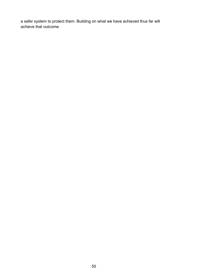a safer system to protect them. Building on what we have achieved thus far will achieve that outcome.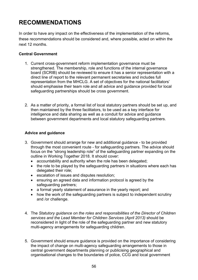## **RECOMMENDATIONS**

In order to have any impact on the effectiveness of the implementation of the reforms, these recommendations should be considered and, where possible, acted on within the next 12 months.

#### **Central Government**

- 1. Current cross-government reform implementation governance must be strengthened. The membership, role and functions of the internal governance board (SCRIB) should be reviewed to ensure it has a senior representation with a direct line of report to the relevant permanent secretaries and includes full representation from the MHCLG. A set of objectives for the national facilitators' should emphasise their team role and all advice and guidance provided for local safeguarding partnerships should be cross government.
- 2. As a matter of priority, a formal list of local statutory partners should be set up, and then maintained by the three facilitators, to be used as a key interface for intelligence and data sharing as well as a conduit for advice and guidance between government departments and local statutory safeguarding partners.

#### **Advice and guidance**

- 3. Government should arrange for new and additional guidance to be provided through the most convenient route - for safeguarding partners. The advice should focus on the "strong leadership role" of the safeguarding partner expanding on the outline in Working Together 2018. It should cover:
	- accountability and authority when the role has been delegated;
	- the role to be played by the safeguarding partners in situations where each has delegated their role;
	- escalation of issues and disputes resolution;
	- ensuring an agreed data and information protocol is agreed by the safeguarding partners;
	- a formal yearly statement of assurance in the yearly report; and
	- how the work of the safeguarding partners is subject to independent scrutiny and /or challenge.
- 4. The *Statutory guidance on the roles and responsibilities of the Director of Children services and the Lead Member for Children Services (April 2013)* should be reconsidered in light of the role of the safeguarding partner and new statutory multi-agency arrangements for safeguarding children.
- 5. Government should ensure guidance is provided on the importance of considering the impact of change on multi-agency safeguarding arrangements to those in central government departments planning or publicising geographical and organisational changes to the boundaries of police, CCG and local government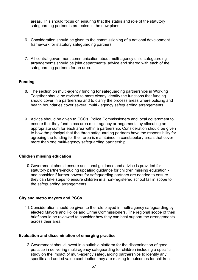areas. This should focus on ensuring that the status and role of the statutory safeguarding partner is protected in the new plans.

- 6. Consideration should be given to the commissioning of a national development framework for statutory safeguarding partners.
- 7. All central government communication about multi-agency child safeguarding arrangements should be joint departmental advice and shared with each of the safeguarding partners for an area.

#### **Funding**

- 8. The section on multi-agency funding for safeguarding partnerships in Working Together should be revised to more clearly identify the functions that funding should cover in a partnership and to clarify the process areas where policing and health boundaries cover several multi - agency safeguarding arrangements.
- 9. Advice should be given to CCGs, Police Commissioners and local government to ensure that they fund cross area multi-agency arrangements by allocating an appropriate sum for each area within a partnership. Consideration should be given to how the principal that the three safeguarding partners have the responsibility for agreeing the funding for their area is maintained in constabulary areas that cover more than one multi-agency safeguarding partnership.

#### **Children missing education**

10.Government should ensure additional guidance and advice is provided for statutory partners-including updating guidance for children missing education and consider if further powers for safeguarding partners are needed to ensure they can take steps to ensure children in a non-registered school fall in scope to the safeguarding arrangements.

#### **City and metro mayors and PCCs**

11.Consideration should be given to the role played in multi-agency safeguarding by elected Mayors and Police and Crime Commissioners. The regional scope of their brief should be reviewed to consider how they can best support the arrangements across their area.

#### **Evaluation and dissemination of emerging practice**

12.Government should invest in a suitable platform for the dissemination of good practice in delivering multi-agency safeguarding for children including a specific study on the impact of multi-agency safeguarding partnerships to identify any specific and added value contribution they are making to outcomes for children.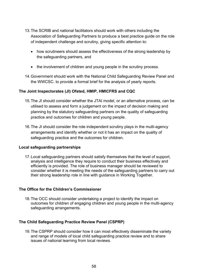- 13.The SCRIB and national facilitators should work with others including the Association of Safeguarding Partners to produce a best practice guide on the role of independent challenge and scrutiny, giving specific attention to:
	- how scrutineers should assess the effectiveness of the strong leadership by the safeguarding partners, and
	- the involvement of children and young people in the scrutiny process.
- 14.Government should work with the National Child Safeguarding Review Panel and the WWCSC. to provide a formal brief for the analysis of yearly reports.

#### **The Joint Inspectorates (JI) Ofsted, HMIP, HMICFRS and CQC**

- 15.The JI should consider whether the JTAI model, or an alternative process, can be utilised to assess and form a judgement on the impact of decision making and planning by the statutory safeguarding partners on the quality of safeguarding practice and outcomes for children and young people.
- 16.The JI should consider the role independent scrutiny plays in the multi-agency arrangements and identify whether or not it has an impact on the quality of safeguarding practice and the outcomes for children.

#### **Local safeguarding partnerships**

17.Local safeguarding partners should satisfy themselves that the level of support, analysis and intelligence they require to conduct their business effectively and efficiently is provided. The role of business manager should be reviewed to consider whether it is meeting the needs of the safeguarding partners to carry out their strong leadership role in line with guidance in Working Together.

#### **The Office for the Children's Commissioner**

18.The OCC should consider undertaking a project to identify the impact on outcomes for children of engaging children and young people in the multi-agency safeguarding arrangements.

#### **The Child Safeguarding Practice Review Panel (CSPRP)**

19.The CSPRP should consider how it can most effectively disseminate the variety and range of models of local child safeguarding practice review and to share issues of national learning from local reviews.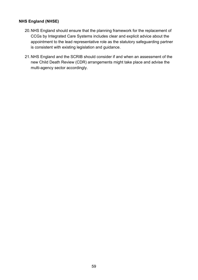#### **NHS England (NHSE)**

- 20.NHS England should ensure that the planning framework for the replacement of CCGs by Integrated Care Systems includes clear and explicit advice about the appointment to the lead representative role as the statutory safeguarding partner is consistent with existing legislation and guidance.
- 21.NHS England and the SCRIB should consider if and when an assessment of the new Child Death Review (CDR) arrangements might take place and advise the multi-agency sector accordingly.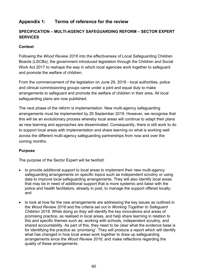## **Appendix 1: Terms of reference for the review**

### **SPECIFICATION – MULTI-AGENCY SAFEGUARDING REFORM – SECTOR EXPERT SERVICES**

#### **Context**

Following the *Wood Review 2016* into the effectiveness of Local Safeguarding Children Boards (LSCBs), the government introduced legislation through the Children and Social Work Act 2017 to reshape the way in which local agencies work together to safeguard and promote the welfare of children.

From the commencement of the legislation on June 29, 2018 - local authorities, police and clinical commissioning groups came under a joint and equal duty to make arrangements to safeguard and promote the welfare of children in their area. All local safeguarding plans are now published.

The next phase of the reform is implementation. New multi-agency safeguarding arrangements must be implemented by 29 September 2019. However, we recognise that this will be an evolutionary process whereby local areas will continue to adapt their plans as new learning and approaches are disseminated. Consequently, there is still work to do to support local areas with implementation and share learning on what is working well across the different multi-agency safeguarding partnerships from now and over the coming months.

#### **Purpose**

The purpose of the Sector Expert will be twofold:

- to provide additional support to local areas to implement their new multi-agency safeguarding arrangements on specific topics such as independent scrutiny or using data to improve local safeguarding arrangements. They will also identify local areas that may be in need of additional support that is more systemic and liaise with the police and health facilitators, already in post, to manage the support offered locally; and
- to look at how far the new arrangements are addressing the key issues as outlined in the *Wood Review 2016* and the criteria set out in *Working Together to Safeguard Children 2018.* While doing so they will identify the key innovations and areas of promising practice, as realised in local areas, and help share learning in relation to this and specific themes such as; working with schools, independent scrutiny, and shared accountability. As part of this, they need to be clear what the evidence base is for identifying the practice as 'promising'. They will produce a report which will identify what has changed in how local areas work together to draw up safeguarding arrangements since the *Wood Review 2016,* and make reflections regarding the quality of these arrangements.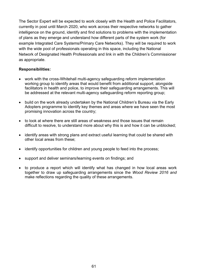The Sector Expert will be expected to work closely with the Health and Police Facilitators, currently in post until March 2020, who work across their respective networks to gather intelligence on the ground, identify and find solutions to problems with the implementation of plans as they emerge and understand how different parts of the system work (for example Integrated Care Systems/Primary Care Networks). They will be required to work with the wide pool of professionals operating in this space, including the National Network of Designated Health Professionals and link in with the Children's Commissioner as appropriate.

#### **Responsibilities:**

- work with the cross-Whitehall multi-agency safeguarding reform implementation working group to identify areas that would benefit from additional support, alongside facilitators in health and police, to improve their safeguarding arrangements. This will be addressed at the relevant multi-agency safeguarding reform reporting group;
- build on the work already undertaken by the National Children's Bureau via the Early Adopters programme to identify key themes and areas where we have seen the most promising innovation across the country;
- to look at where there are still areas of weakness and those issues that remain difficult to resolve, to understand more about why this is and how it can be unblocked;
- identify areas with strong plans and extract useful learning that could be shared with other local areas from these;
- identify opportunities for children and young people to feed into the process;
- support and deliver seminars/learning events on findings; and
- to produce a report which will identify what has changed in how local areas work together to draw up safeguarding arrangements since the *Wood Review 2016 and* make reflections regarding the quality of these arrangements.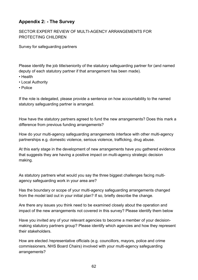## **Appendix 2: - The Survey**

#### SECTOR EXPERT REVIEW OF MULTI-AGENCY ARRANGEMENTS FOR PROTECTING CHILDREN

Survey for safeguarding partners

Please identify the job title/seniority of the statutory safeguarding partner for (and named deputy of each statutory partner if that arrangement has been made).

- Health
- Local Authority
- Police

If the role is delegated, please provide a sentence on how accountability to the named statutory safeguarding partner is arranged.

How have the statutory partners agreed to fund the new arrangements? Does this mark a difference from previous funding arrangements?

How do your multi-agency safeguarding arrangements interface with other multi-agency partnerships e.g. domestic violence, serious violence, trafficking, drug abuse.

At this early stage in the development of new arrangements have you gathered evidence that suggests they are having a positive impact on multi-agency strategic decision making.

As statutory partners what would you say the three biggest challenges facing multiagency safeguarding work in your area are?

Has the boundary or scope of your multi-agency safeguarding arrangements changed from the model laid out in your initial plan? If so, briefly describe the change.

Are there any issues you think need to be examined closely about the operation and impact of the new arrangements not covered in this survey? Please identify them below

Have you invited any of your relevant agencies to become a member of your decisionmaking statutory partners group? Please identify which agencies and how they represent their stakeholders.

How are elected /representative officials (e.g. councillors, mayors, police and crime commissioners, NHS Board Chairs) involved with your multi-agency safeguarding arrangements?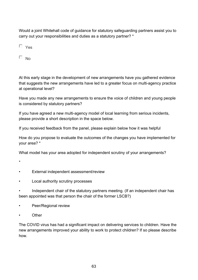Would a joint Whitehall code of guidance for statutory safeguarding partners assist you to carry out your responsibilities and duties as a statutory partner? \*

 $\Box$  No

At this early stage in the development of new arrangements have you gathered evidence that suggests the new arrangements have led to a greater focus on multi-agency practice at operational level?

Have you made any new arrangements to ensure the voice of children and young people is considered by statutory partners?

If you have agreed a new multi-agency model of local learning from serious incidents, please provide a short description in the space below.

If you received feedback from the panel, please explain below how it was helpful

How do you propose to evaluate the outcomes of the changes you have implemented for your area? \*

What model has your area adopted for independent scrutiny of your arrangements?

\*

- External independent assessment/review
- Local authority scrutiny processes

Independent chair of the statutory partners meeting. (If an independent chair has been appointed was that person the chair of the former LSCB?)

- Peer/Regional review
- **Other**

The COVID virus has had a significant impact on delivering services to children. Have the new arrangements improved your ability to work to protect children? If so please describe how.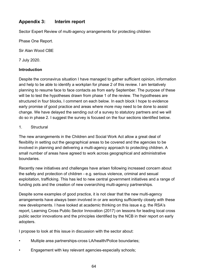## **Appendix 3: Interim report**

Sector Expert Review of multi-agency arrangements for protecting children

Phase One Report.

Sir Alan Wood CBE

7 July 2020.

#### **Introduction**

Despite the coronavirus situation I have managed to gather sufficient opinion, information and help to be able to identify a workplan for phase 2 of this review. I am tentatively planning to resume face to face contacts as from early September. The purpose of these will be to test the hypotheses drawn from phase 1 of the review. The hypotheses are structured in four blocks, I comment on each below. In each block I hope to evidence early promise of good practice and areas where more may need to be done to assist change. We have delayed the sending out of a survey to statutory partners and we will do so in phase 2. I suggest the survey is focused on the four sections identified below.

#### 1. Structural

The new arrangements in the Children and Social Work Act allow a great deal of flexibility in setting out the geographical areas to be covered and the agencies to be involved in planning and delivering a multi-agency approach to protecting children. A small number of areas have agreed to work across geographical and administrative boundaries.

Recently new initiatives and challenges have arisen following increased concern about the safety and protection of children - e.g. serious violence, criminal and sexual exploitation, trafficking. This has led to new central government initiatives and a range of funding pots and the creation of new overarching multi-agency partnerships.

Despite some examples of good practice, it is not clear that the new multi-agency arrangements have always been involved in or are working sufficiently closely with these new developments. I have looked at academic thinking on this issue e.g. the RSA's report, Learning Cross Public Sector Innovation (2017) on lessons for leading local cross public sector innovations and the principles identified by the NCB in their report on early adopters.

I propose to look at this issue in discussion with the sector about:

- Multiple area partnerships-cross LA/health/Police boundaries;
- Engagement with key relevant agencies-especially schools;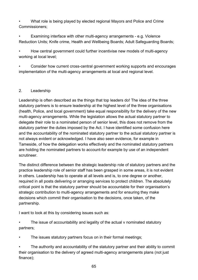• What role is being played by elected regional Mayors and Police and Crime Commissioners;

• Examining interface with other multi-agency arrangements - e.g. Violence Reduction Units; Knife crime, Health and Wellbeing Boards; Adult Safeguarding Boards;

• How central government could further incentivise new models of multi-agency working at local level;

• Consider how current cross-central government working supports and encourages implementation of the multi-agency arrangements at local and regional level.

#### 2. Leadership

Leadership is often described as the things that top leaders do! The idea of the three statutory partners is to ensure leadership at the highest level of the three organisations (health, Police, and local government) take equal responsibility for the delivery of the new multi-agency arrangements. While the legislation allows the actual statutory partner to delegate their role to a nominated person of senior level, this does not remove from the statutory partner the duties imposed by the Act. I have identified some confusion here and the accountability of the nominated statutory partner to the actual statutory partner is not always evident or acknowledged. I have also seen evidence, for example in Tameside, of how the delegation works effectively and the nominated statutory partners are holding the nominated partners to account-for example by use of an independent scrutineer.

The distinct difference between the strategic leadership role of statutory partners and the practice leadership role of senior staff has been grasped in some areas, it is not evident in others. Leadership has to operate at all levels and is, to one degree or another, required in all posts delivering or arranging services to protect children. The absolutely critical point is that the statutory partner should be accountable for their organisation's strategic contribution to multi-agency arrangements and for ensuring they make decisions which commit their organisation to the decisions, once taken, of the partnership.

I want to look at this by considering issues such as:

The issue of accountability and legality of the actual v nominated statutory partners;

The issues statutory partners focus on in their formal meetings;

The authority and accountability of the statutory partner and their ability to commit their organisation to the delivery of agreed multi-agency arrangements plans (not just finance);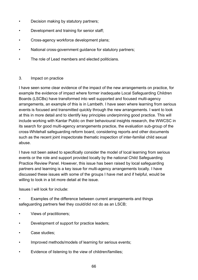- Decision making by statutory partners;
- Development and training for senior staff;
- Cross-agency workforce development plans;
- National cross-government guidance for statutory partners;
- The role of Lead members and elected politicians.

#### 3. Impact on practice

I have seen some clear evidence of the impact of the new arrangements on practice, for example the evidence of impact where former inadequate Local Safeguarding Children Boards (LSCBs) have transformed into well supported and focused multi-agency arrangements, an example of this is in Lambeth. I have seen where learning from serious events is focused and transmitted quickly through the new arrangements. I want to look at this in more detail and to identify key principles underpinning good practice. This will include working with Kantar Public on their behavioural insights research, the WWCSC in its search for good multi-agency arrangements practice, the evaluation sub-group of the cross-Whitehall safeguarding reform board, considering reports and other documents such as the recent joint inspectorate thematic inspection of inter-familial child sexual abuse.

I have not been asked to specifically consider the model of local learning from serious events or the role and support provided locally by the national Child Safeguarding Practice Review Panel. However, this issue has been raised by local safeguarding partners and learning is a key issue for multi-agency arrangements locally. I have discussed these issues with some of the groups I have met and if helpful, would be willing to look in a bit more detail at the issue.

Issues I will look for include:

• Examples of the difference between current arrangements and things safeguarding partners feel they could/did not do as an LSCB;

- Views of practitioners;
- Development of support for practice leaders;
- Case studies;
- Improved methods/models of learning for serious events;
- Evidence of listening to the view of children/families;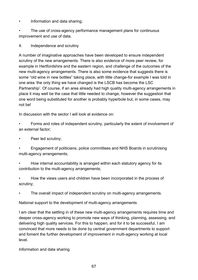• Information and data sharing;

The use of cross-agency performance management plans for continuous improvement and use of data.

4. Independence and scrutiny

A number of imaginative approaches have been developed to ensure independent scrutiny of the new arrangements. There is also evidence of more peer review, for example in Hertfordshire and the eastern region, and challenge of the outcomes of the new multi-agency arrangements. There is also some evidence that suggests there is some "old wine in new bottles" taking place, with little change-for example I was told in one area 'the only thing we have changed is the LSCB has become the LSC Partnership'. Of course, if an area already had high quality multi-agency arrangements in place it may well be the case that little needed to change, however the suggestion that one word being substituted for another is probably hyperbole but, in some cases, may not be!

In discussion with the sector I will look at evidence on:

• Forms and roles of independent scrutiny, particularly the extent of involvement of an external factor;

Peer led scrutiny;

• Engagement of politicians, police committees and NHS Boards in scrutinising multi-agency arrangements;

• How internal accountability is arranged within each statutory agency for its contribution to the multi-agency arrangements;

• How the views users and children have been incorporated in the process of scrutiny;

The overall impact of independent scrutiny on multi-agency arrangements.

National support to the development of multi-agency arrangements

I am clear that the settling in of these new multi-agency arrangements requires time and deeper cross-agency working to promote new ways of thinking, planning, assessing, and delivering high quality services. For this to happen, and for it to be successful, I am convinced that more needs to be done by central government departments to support and foment the further development of improvement in multi-agency working at local level.

Information and data sharing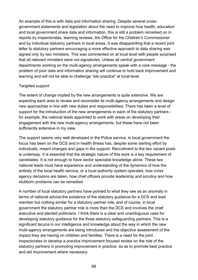An example of this is with data and information sharing. Despite several crossgovernment statements and legislation about the need to improve how health, education and local government share data and information, this is still a problem remarked on in reports by inspectorates, learning reviews, the Office for the Children's Commissioner and by individual statutory partners in local areas. It was disappointing that a recent joint letter to statutory partners encouraging a more effective approach to data sharing was signed only by two ministers. This was commented on at local level with people surprised that all relevant ministers were not signatories. Unless all central government departments working on the multi-agency arrangements speak with a core message - the problem of poor data and information sharing will continue to hold back improvement and learning and will not be able to challenge "silo practice" at local level.

#### Targeted support

The extent of change implied by the new arrangements is quite extensive. We are expecting each area to review and reconsider its multi-agency arrangements and design new approaches in line with new duties and responsibilities. There has been a level of support for the introduction of the new arrangements in each of the statutory partners for example, the national leads appointed to work with areas on developing their engagement with the new multi-agency arrangements, but these have not been sufficiently extensive in my view.

The support seems very well developed in the Police service, in local government the focus has been on the DCS and in health illness has, despite some sterling effort by individuals, meant changes and gaps in the support. Recruitment to the two vacant posts is underway. It is essential that the strategic nature of this work is a key requirement of candidates. It is not enough to have sector specialist knowledge alone. These two national leads must have experience and understanding of the dynamics of how the entirety of the local health service, or a local authority system operates, how cross agency decisions are taken, how chief officers provide leadership and scrutiny and how stubborn problems can be remedied.

A number of local statutory partners have pointed to what they see as an anomaly in terms of national advice-the existence of the statutory guidance for a DCS and lead member but nothing similar for a statutory partner role, and of course, in local government the statutory partner role is more than the DCS and involves the chief executive and elected politicians. I think there is a clear and unambiguous case for developing statutory guidance for the three statutory safeguarding partners. This is a significant lacuna in our intelligence and knowledge about the way in which the new multi-agency arrangements are being introduced and the objective assessment of the impact they are having on children and families. There is a need for the joint inspectorates to develop a practice improvement focused review on the role of the statutory partners in promoting improvement in practice, so as to promote best practice and aid improvement where necessary.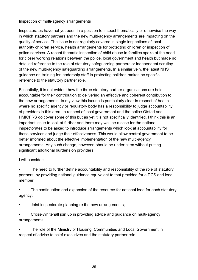#### Inspection of multi-agency arrangements

Inspectorates have not yet been in a position to inspect thematically or otherwise the way in which statutory partners and the new multi-agency arrangements are impacting on the quality of service. The issue is not regularly covered in single inspections of local authority children service, health arrangements for protecting children or inspection of police services. A recent thematic inspection of child abuse in families spoke of the need for closer working relations between the police, local government and health but made no detailed reference to the role of statutory safeguarding partners or independent scrutiny of the new multi-agency safeguarding arrangements. In a similar vein, the latest NHS guidance on training for leadership staff in protecting children makes no specific reference to the statutory partner role.

Essentially, it is not evident how the three statutory partner organisations are held accountable for their contribution to delivering an effective and coherent contribution to the new arrangements. In my view this lacuna is particularly clear in respect of health where no specific agency or regulatory body has a responsibility to judge accountability of providers in this area. In respect of local government and the police Ofsted and HMICFRS do cover some of this but as yet it is not specifically identified. I think this is an important issue to look at further and there may well be a case for the national inspectorates to be asked to introduce arrangements which look at accountability for these services and judge their effectiveness. This would allow central government to be better informed about the effective implementation of the new multi-agency arrangements. Any such change, however, should be undertaken without putting significant additional burdens on providers.

I will consider:

- The need to further define accountability and responsibility of the role of statutory partners, by providing national guidance equivalent to that provided for a DCS and lead member;
- The continuation and expansion of the resource for national lead for each statutory agency;
- Joint inspectorate planning re the new arrangements;
- Cross-Whitehall join up in providing advice and guidance on multi-agency arrangements;
- The role of the Ministry of Housing, Communities and Local Government in respect of advice to chief executives and the statutory partner role.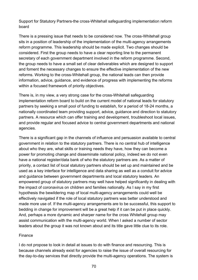Support for Statutory Partners-the cross-Whitehall safeguarding implementation reform board

There is a pressing issue that needs to be considered now. The cross-Whitehall group sits in a position of leadership of the implementation of the multi-agency arrangements reform programme. This leadership should be made explicit. Two changes should be considered. First the group needs to have a clear reporting line to the permanent secretary of each government department involved in the reform programme. Second, the group needs to have a small set of clear deliverables which are designed to support and foment the necessary changes to ensure the effective implementation of the new reforms. Working to the cross-Whitehall group, the national leads can then provide information, advice, guidance, and evidence of progress with implementing the reforms within a focused framework of priority objectives.

There is, in my view, a very strong case for the cross-Whitehall safeguarding implementation reform board to build on the current model of national leads for statutory partners by seeking a small pool of funding to establish, for a period of 18-24 months, a nationally coordinated team providing support, advice, guidance and direction to statutory partners. A resource which can offer training and development, troubleshoot local issues, and provide regular and focused advice to central government departments and national agencies.

There is a significant gap in the channels of influence and persuasion available to central government in relation to the statutory partners. There is no central hub of intelligence about who they are, what skills or training needs they have, how they can become a power for promoting change and disseminate national policy, indeed we do not even have a national register/data bank of who the statutory partners are. As a matter of priority, a contact list of local statutory partners should be set up and maintained and be used as a key interface for intelligence and data sharing as well as a conduit for advice and guidance between government departments and local statutory leaders. An empowered group of statutory partners may well have helped significantly in dealing with the impact of coronavirus on children and families nationally. As I say in my first hypothesis the bewildering map of local multi-agency arrangements could well be effectively navigated if the role of local statutory partners was better understood and made more use of. If the multi-agency arrangements are to be successful, this support to bedding in change for improvement will be a great help if it can be put in place quickly. And, perhaps a more dynamic and sharper name for the cross Whitehall group may assist communication with the multi-agency world. When I asked a number of sector leaders about the group it was not known about and its title gave little clue to its role.

#### Finance

I do not propose to look in detail at issues to do with finance and resourcing. This is because channels already exist for agencies to raise the issue of overall resourcing for the day-to-day services that directly provide the multi-agency operations. The system is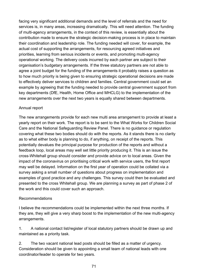facing very significant additional demands and the level of referrals and the need for services is, in many areas, increasing dramatically. This will need attention. The funding of multi-agency arrangements, in the context of this review, is essentially about the contribution made to ensure the strategic decision-making process is in place to maintain their coordination and leadership role. The funding needed will cover, for example, the actual cost of supporting the arrangements, for resourcing agreed initiatives and priorities, learning from serious incidents or events, and promoting multi-agency operational working. The delivery costs incurred by each partner are subject to their organisation's budgetary arrangements. If the three statutory partners are not able to agree a joint budget for the funding of the arrangements it probably raises a question as to how much priority is being given to ensuring strategic operational decisions are made to effectively deliver services to children and families. Central government could set an example by agreeing that the funding needed to provide central government support from key departments (DfE, Health, Home Office and MHCLG) to the implementation of the new arrangements over the next two years is equally shared between departments.

#### Annual report

The new arrangements provide for each new multi area arrangement to provide at least a yearly report on their work. The report is to be sent to the What Works for Children Social Care and the National Safeguarding Review Panel. There is no guidance or regulation covering what these two bodies should do with the reports. As it stands there is no clarity as to what either body is planning to do, if anything, on receipt of the reports. This potentially devalues the principal purpose for production of the reports and without a feedback loop, local areas may well set little priority producing it. This is an issue the cross-Whitehall group should consider and provide advice on to local areas. Given the impact of the coronavirus on prioritising critical work with service users, the first report may well be delayed. Information on the first year of operation could be collated via a survey asking a small number of questions about progress on implementation and examples of good practice and any challenges. This survey could then be evaluated and presented to the cross Whitehall group. We are planning a survey as part of phase 2 of the work and this could cover such an approach.

#### Recommendations

I believe the recommendations could be implemented within the next three months. If they are, they will give a very sharp boost to the implementation of the new multi-agency arrangements.

1. A national contact list/register of local statutory partners should be drawn up and maintained as a priority task.

2. The two vacant national lead posts should be filled as a matter of urgency. Consideration should be given to appointing a small team of national leads with one coordinator/leader to operate for two years.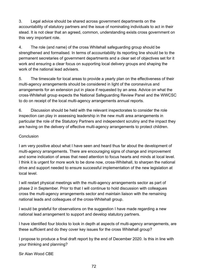3. Legal advice should be shared across government departments on the accountability of statutory partners and the issue of nominating individuals to act in their stead. It is not clear that an agreed, common, understanding exists cross government on this very important role.

4. The role (and name) of the cross Whitehall safeguarding group should be strengthened and formalised. In terms of accountability its reporting line should be to the permanent secretaries of government departments and a clear set of objectives set for it work and ensuring a clear focus on supporting local delivery groups and shaping the work of the national lead advisers.

5. The timescale for local areas to provide a yearly plan on the effectiveness of their multi-agency arrangements should be considered in light of the coronavirus and arrangements for an extension put in place if requested by an area. Advice on what the cross-Whitehall group expects the National Safeguarding Review Panel and the WWCSC to do on receipt of the local multi-agency arrangements annual reports.

6. Discussion should be held with the relevant inspectorates to consider the role inspection can play in assessing leadership in the new multi area arrangements in particular the role of the Statutory Partners and independent scrutiny and the impact they are having on the delivery of effective multi-agency arrangements to protect children.

#### Conclusion

I am very positive about what I have seen and heard thus far about the development of multi-agency arrangements. There are encouraging signs of change and improvement and some indication of areas that need attention to focus hearts and minds at local level. I think it is urgent for more work to be done now, cross-Whitehall, to sharpen the national drive and support needed to ensure successful implementation of the new legislation at local level.

I will restart physical meetings with the multi-agency arrangements sector as part of phase 2 in September. Prior to that I will continue to hold discussion with colleagues cross the multi-agency arrangements sector and maintain liaison with the remaining national leads and colleagues of the cross-Whitehall group.

I would be grateful for observations on the suggestion I have made regarding a new national lead arrangement to support and develop statutory partners.

I have identified four blocks to look in depth at aspects of multi-agency arrangements, are these sufficient and do they cover key issues for the cross Whitehall group?

I propose to produce a final draft report by the end of December 2020. Is this in line with your thinking and planning?

Sir Alan Wood CBE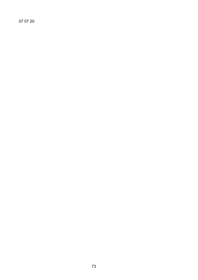07 07 20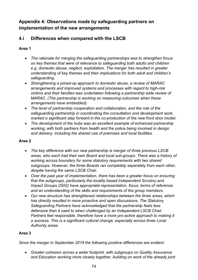# **Appendix 4: Observations made by safeguarding partners on implementation of the new arrangements**

# **4.i Differences when compared with the LSCB**

### **Area 1**

- *The rationale for merging the safeguarding partnerships was to strengthen focus on key themes that were of relevance to safeguarding both adults and children e.g. domestic abuse, neglect, exploitation. The merger has resulted in greater understanding of key themes and their implications for both adult and children's safeguarding.*
- *Strengthening a joined-up approach to domestic abuse, a review of MARAC arrangements and improved systems and processes with regard to high-risk victims and their families was undertaken following a partnership wide review of MARAC. (The partnership is working on measuring outcomes when these arrangements have embedded).*
- *The level of partnership cooperation and collaboration, and the role of the safeguarding partnership in coordinating the consultation and development work, marked a significant step forward in the co-production of the new front door model.*
- *The development of the hubs was an excellent example of enhanced partnership working, with both partners from health and the police being involved in design and delivery, including the shared use of premises and local facilities.*

### **Area 2**

- *The key difference with our new partnership is merger of three previous LSCB areas, who each had their own Board and local sub-groups. There was a history of working across boundary for some statutory requirements with two shared subgroups. However, the three Boards ran completely separately from each other, despite having the same LSCB Chair.*
- *Over the past year of implementation, there has been a greater focus on ensuring that the subgroups, particularly the locality based Independent Scrutiny and Impact Groups (ISIG) have appropriate representation, focus, terms of reference and an understanding of the skills and requirements of the group members.*
- *Our new structure has strengthened relationships between the three areas, which has directly resulted in more proactive and open discussions. The Statutory Safeguarding Partners have acknowledged that the partnership feels less defensive than it used to when challenged by an Independent LSCB Chair.*  Partners feel responsible, therefore have a more pro-active approach to making it *a success. This is a significant cultural change, especially across three Local Authority areas.*

### **Area 3**

*Since the merger in September 2019 the following positive differences are evident:*

• *Greater cohesion across a wider footprint, with subgroups on Quality Assurance and Education working more closely together, building on work of the already joint*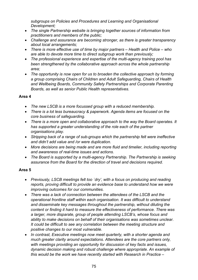*subgroups on Policies and Procedures and Learning and Organisational Development;*

- *The single Partnership website is bringing together sources of information from practitioners and members of the public;*
- *Challenge and assurance are becoming stronger, as there is greater transparency about local arrangements;*
- *There is more effective use of time by major partners – Health and Police – who are able to devote more time to direct subgroup work than previously;*
- *The professional experience and expertise of the multi-agency training pool has been strengthened by the collaborative approach across the whole partnership area;*
- *The opportunity is now open for us to broaden the collective approach by forming a group comprising Chairs of Children and Adult Safeguarding, Chairs of Health and Wellbeing Boards, Community Safety Partnerships and Corporate Parenting Boards, as well as senior Public Health representatives.*

### **Area 4**

- *The new LSCB is a more focussed group with a reduced membership.*
- *There is a lot less bureaucracy & paperwork. Agenda items are focused on the core business of safeguarding.*
- *There is a more open and collaborative approach to the way the Board operates. It has supported a greater understanding of the role each of the partner organisations play.*
- *Stripping back of a range of sub-groups which the partnership felt were ineffective and didn't add value and /or were duplication.*
- *More decisions are being made and are more fluid and timelier, including reporting and awareness of real-time issues and actions.*
- *The Board is supported by a multi-agency Partnership. The Partnership is seeking assurance from the Board for the direction of travel and decisions required.*

### **Area 5**

- *Previously, LSCB meetings felt too `dry', with a focus on producing and reading reports, proving difficult to provide an evidence base to understand how we were improving outcomes for our communities.*
- *There was a lack of connection between the attendees of the LSCB and the operational frontline staff within each organisation. It was difficult to understand and disseminate key messages throughout the partnership, without diluting the content or finding it hard to measure the effectiveness of performance. There was a larger, more disparate, group of people attending LSCB's, whose focus and ability to make decisions on behalf of their organisations was sometimes unclear. It could be difficult to see any correlation between the meeting structure and positive changes to our most vulnerable.*
- *In contrast, Executive meetings now meet quarterly, with a shorter agenda and much greater clarity around expectations. Attendees are the core partners only, with meetings providing an opportunity for discussion of key facts and issues, dynamic decision making and robust challenge where appropriate. An example of this would be the work we have recently started with Research in Practice –*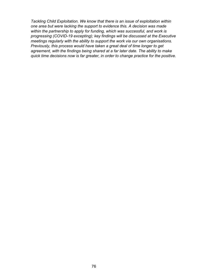*Tackling Child Exploitation. We know that there is an issue of exploitation within one area but were lacking the support to evidence this. A decision was made within the partnership to apply for funding, which was successful, and work is progressing (COVID-19 excepting); key findings will be discussed at the Executive meetings regularly with the ability to support the work via our own organisations. Previously, this process would have taken a great deal of time longer to get agreement, with the findings being shared at a far later date. The ability to make quick time decisions now is far greater, in order to change practice for the positive.*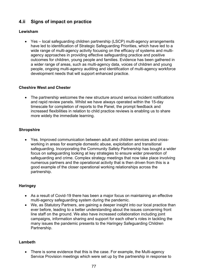# **4.ii Signs of impact on practice**

### **Lewisham**

• Yes – local safeguarding children partnership (LSCP) multi-agency arrangements have led to identification of Strategic Safeguarding Priorities, which have led to a wide range of multi-agency activity focusing on the efficacy of systems and multiagency approaches in providing effective safeguarding practice and positive outcomes for children, young people and families. Evidence has been gathered in a wider range of areas, such as multi-agency data, voices of children and young people, ongoing multi-agency auditing and identification of multi-agency workforce development needs that will support enhanced practice.

#### **Cheshire West and Chester**

• The partnership welcomes the new structure around serious incident notifications and rapid review panels. Whilst we have always operated within the 15-day timescale for completion of reports to the Panel, the prompt feedback and increased flexibilities in relation to child practice reviews is enabling us to share more widely the immediate learning.

### **Shropshire**

• Yes. Improved communication between adult and children services and crossworking in areas for example domestic abuse, exploitation and transitional safeguarding. Incorporating the Community Safety Partnership has bought a wider focus on safeguarding looking at key strategies to ensure wider prevention of safeguarding and crime. Complex strategy meetings that now take place involving numerous partners and the operational activity that is then driven from this is a good example of the closer operational working relationships across the partnership.

### **Haringey**

- As a result of Covid-19 there has been a major focus on maintaining an effective multi-agency safeguarding system during the pandemic.
- We, as Statutory Partners, are gaining a deeper insight into our local practice than ever before, leading to a better understanding about the issues concerning front line staff on the ground. We also have increased collaboration including joint campaigns, information sharing and support for each other's roles in tackling the many issues the pandemic presents to the Haringey Safeguarding Children Partnership.

#### **Lambeth**

• There is some evidence that this is the case. For example, the Multi-agency Service Provision meetings which were set up by the partnership in response to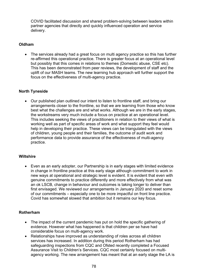COVID facilitated discussion and shared problem-solving between leaders within partner agencies that directly and quickly influenced operation and service delivery.

#### **Oldham**

• The services already had a great focus on multi agency practice so this has further re-affirmed this operational practice. There is greater focus at an operational level but possibly that this comes in relations to themes (Domestic abuse, CSE etc). This has been demonstrated from peer reviews, the development of staff and the uplift of our MASH teams. The new learning hub approach will further support the focus on the effectiveness of multi-agency practice.

#### **North Tyneside**

• Our published plan outlined our intent to listen to frontline staff, and bring our arrangements closer to the frontline, so that we are learning from those who know best what the challenges are and what works. Although we are in the early stages, the workstreams very much include a focus on practice at an operational level. This includes seeking the views of practitioners in relation to their views of what is working well as part of specific areas of work and what support they feel would help in developing their practice. These views can be triangulated with the views of children, young people and their families, the outcome of audit work and performance data to provide assurance of the effectiveness of multi-agency practice.

#### **Wiltshire**

• Even as an early adopter, our Partnership is in early stages with limited evidence in change in frontline practice at this early stage although commitment to work in new ways at operational and strategic level is evident. It is evident that even with genuine commitments to practice differently and more effectively from what was an ok LSCB, change in behaviour and outcomes is taking longer to deliver than first envisaged. We reviewed our arrangements in January 2020 and reset some of our commitments – especially one to be more impactful on front line practice. Covid has somewhat slowed that ambition but it remains our key focus.

#### **Rotherham**

- The impact of the current pandemic has put on hold the specific gathering of evidence. However what has happened is that children per se have had considerable focus on multi-agency work.
- Relationships have improved as understanding of roles across all children services has increased. In addition during this period Rotherham has had safeguarding inspections from CQC and Ofsted recently completed a Focused Assurance Visit to Children's Services. CQC most certainly focused on multiagency working. The new arrangement has meant that at an early stage the LA is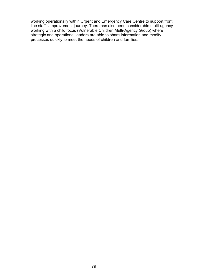working operationally within Urgent and Emergency Care Centre to support front line staff's improvement journey. There has also been considerable multi-agency working with a child focus (Vulnerable Children Multi-Agency Group) where strategic and operational leaders are able to share information and modify processes quickly to meet the needs of children and families.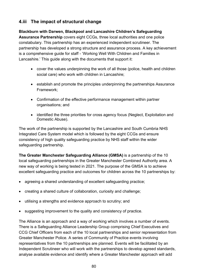# **4.iii The impact of structural change**

### **Blackburn with Darwen, Blackpool and Lancashire Children's Safeguarding**

**Assurance Partnership** covers eight CCGs, three local authorities and one police constabulary. This partnership has an experienced independent scrutineer. The partnership has developed a strong structure and assurance process. A key achievement is a comprehensive guide for staff - 'Working Well With Children and Families in Lancashire.' This guide along with the documents that support it:

- cover the values underpinning the work of all those (police, health and children social care) who work with children in Lancashire;
- establish and promote the principles underpinning the partnerships Assurance Framework;
- Confirmation of the effective performance management within partner organisations; and
- identified the three priorities for cross agency focus (Neglect, Exploitation and Domestic Abuse).

The work of the partnership is supported by the Lancashire and South Cumbria NHS Integrated Care System model which is followed by the eight CCGs and ensure consistency of high quality safeguarding practice by NHS staff within the wider safeguarding partnership.

**The Greater Manchester Safeguarding Alliance (GMSA)** is a partnership of the 10 local safeguarding partnerships in the Greater Manchester Combined Authority area. A new way of working is being tested in 2021. The purpose of the GMSA is to achieve excellent safeguarding practice and outcomes for children across the 10 partnerships by:

- agreeing a shared understanding of excellent safeguarding practice;
- creating a shared culture of collaboration, curiosity and challenge:
- utilising a strengths and evidence approach to scrutiny; and
- suggesting improvement to the quality and consistency of practice.

The Alliance is an approach and a way of working which involves a number of events. There is a Safeguarding Alliance Leadership Group comprising Chief Executives and CCG Chief Officers from each of the 10 local partnerships and senior representation from Greater Manchester Police. A series of Community of Practice events involving representatives from the 10 partnerships are planned. Events will be facilitated by an Independent Scrutineer who will work with the partnerships to develop agreed standards, analyse available evidence and identify where a Greater Manchester approach will add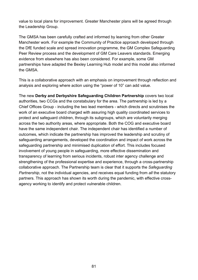value to local plans for improvement. Greater Manchester plans will be agreed through the Leadership Group.

The GMSA has been carefully crafted and informed by learning from other Greater Manchester work. For example the Community of Practice approach developed through the DfE funded scale and spread innovation programme, the GM Complex Safeguarding Peer Review process and the development of GM Care Leavers standards. Emerging evidence from elsewhere has also been considered. For example, some GM partnerships have adapted the Bexley Learning Hub model and this model also informed the GMSA.

This is a collaborative approach with an emphasis on improvement through reflection and analysis and exploring where action using the "power of 10" can add value.

The new **Derby and Derbyshire Safeguarding Children Partnership** covers two local authorities, two CCGs and the constabulary for the area. The partnership is led by a Chief Offices Group - including the two lead members - which directs and scrutinises the work of an executive board charged with assuring high quality coordinated services to protect and safeguard children, through its subgroups, which are voluntarily merging across the two authority areas, where appropriate. Both the COG and executive board have the same independent chair. The independent chair has identified a number of outcomes, which indicate the partnership has improved the leadership and scrutiny of safeguarding arrangements, developed the coordination and impact of work across the safeguarding partnership and minimised duplication of effort. This includes focused involvement of young people in safeguarding, more effective dissemination and transparency of learning from serious incidents, robust inter agency challenge and strengthening of the professional expertise and experience, through a cross-partnership collaborative approach. The Partnership team is clear that it supports the *Safeguarding Partnership*, not the individual agencies, and receives equal funding from *all* the statutory partners. This approach has shown its worth during the pandemic, with effective crossagency working to identify and protect vulnerable children.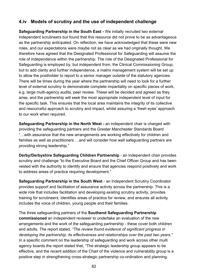## **4.iv Models of scrutiny and the use of independent challenge**

**Safeguarding Partnership in the South East -** We initially recruited two external independent scrutineers but found that this resource did not prove to be as advantageous as the partnership anticipated. On reflection, we have acknowledged that these were new roles, and our expectations were maybe not as clear as we had originally thought. We therefore have agreed that the Designated Professional for Safeguarding will assume the role of independence within the partnership. The role of the Designated Professional for Safeguarding is employed by, but independent from, the Clinical Commissioning Group, but to add clarity and further independence, a matrix management system will be set up to allow the postholder to report to a senior manager outside of the statutory agencies. There will be times during the year where the partnership will need to look for a further level of external scrutiny to demonstrate complete impartiality on specific pieces of work, e.g. large multi-agency audits, peer review. These will be decided and agreed as they arise, and the partnership will seek the most appropriate independent level of input for the specific task. This ensures that the local area maintains the integrity of its collective and resourceful approach to scrutiny and impact, whilst assuring a 'fresh eyes' approach to our work when required.

**Safeguarding Partnership in the North West -** an independent chair is charged with providing the safeguarding partners and the Greater Manchester Standards Board "…with assurance that the new arrangements are working effectively for children and families as well as practitioners …and will consider how well safeguarding partners are providing strong leadership."

**Derby/Derbyshire Safeguarding Children Partnership** - an independent chair provides scrutiny and challenge "to the Executive Board and the Chief Officer Group and has been vested with the authority to identify and ensure that agencies respond positively and work to address areas of practice requiring development."

**Safeguarding Partnership in the South West** - an independent Scrutiny Coordinator provides support and facilitation of assurance activity across the partnership. This is a wide role that includes facilitation and developing existing scrutiny activity, provides training for scrutineers, identifies areas of practice for review, and ensures all activity includes the voice of children, young people and their families.

The three safeguarding partners of the **Southend Safeguarding Partnership commissioned** an independent reviewer to undertake an evaluation of the new arrangements and the work of the safeguarding partnership - these cover both children and adults. The report stated, *"The review found evidence of significant progress in developing the partnership, its effectiveness and relationships over the past two years."* In a specific comment on the leadership of safeguarding and work across other multi agency boards the report stated that, "The strategic leadership group appears to be effective, and the recent addition of the Chair of the violence and vulnerability group is a positive step in strengthening cross-strategic partnership co-ordination and planning.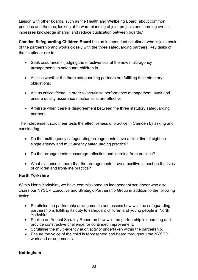Liaison with other boards, such as the Health and Wellbeing Board, about common priorities and themes, looking at forward planning of joint projects and learning events increases knowledge sharing and reduce duplication between boards."

**Camden Safeguarding Children Board** has an independent scrutineer who is joint chair of the partnership and works closely with the three safeguarding partners. Key tasks of the scrutineer are to:

- Seek assurance in judging the effectiveness of the new multi-agency arrangements to safeguard children in.
- Assess whether the three safeguarding partners are fulfilling their statutory obligations.
- Act as critical friend, in order to scrutinise performance management, audit and ensure quality assurance mechanisms are effective.
- Arbitrate when there is disagreement between the three statutory safeguarding partners.

The independent scrutineer tests the effectiveness of practice in Camden by asking and considering,

- Do the multi-agency safeguarding arrangements have a clear line of sight on single agency and multi-agency safeguarding practice?
- Do the arrangements encourage reflection and learning from practice?
- What evidence is there that the arrangements have a positive impact on the lives of children and front-line practice?

### **North Yorkshire**

Within North Yorkshire, we have commissioned an independent scrutineer who also chairs our NYSCP Executive and Strategic Partnership Group in addition to the following tasks:

- Scrutinise the partnership arrangements and assess how well the safeguarding partnership is fulfilling its duty to safeguard children and young people in North Yorkshire.
- Publish an Annual Scrutiny Report on how well the partnership is operating and provide constructive challenge for continued improvement.
- Scrutinise the multi-agency audit activity undertaken within the partnership.
- Ensure the voice of the child is represented and heard throughout the NYSCP work and arrangements.

### **Nottingham**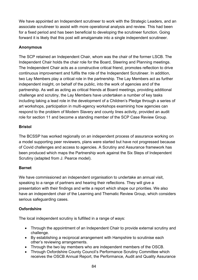We have appointed an Independent scrutineer to work with the Strategic Leaders, and an associate scrutineer to assist with more operational analysis and review. This had been for a fixed period and has been beneficial to developing the scrutineer function. Going forward it is likely that this post will amalgamate into a single independent scrutineer.

### **Anonymous**

The SCP retained an Independent Chair, whom was the chair of the former LSCB. The Independent Chair holds the chair role for the Board, Steering and Planning meetings. The Independent Chair acts as a constructive critical friend, promotes reflection to drive continuous improvement and fulfils the role of the Independent Scrutineer. In addition, two Lay Members play a critical role in the partnership. The Lay Members act as further independent insight, on behalf of the public, into the work of agencies and of the partnership. As well as acting as critical friends at Board meetings, providing additional challenge and scrutiny, the Lay Members have undertaken a number of key tasks including taking a lead role in the development of a Children's Pledge through a series of art workshops, participation in multi-agency workshops examining how agencies can respond to the problem of Modern Slavery and county lines activity, provided an audit role for section 11 and become a standing member of the SCP Case Review Group.

### **Bristol**

The BCSSP has worked regionally on an independent process of assurance working on a model supporting peer reviewers, plans were started but have not progressed because of Covid challenges and access to agencies. A Scrutiny and Assurance framework has been produced which maps the Partnership work against the Six Steps of Independent Scrutiny (adapted from J. Pearce model).

### **Barnet**

We have commissioned an independent organisation to undertake an annual visit, speaking to a range of partners and hearing their reflections. They will give a presentation with their findings and write a report which shape our priorities. We also have an independent chair of the Learning and Thematic Review Group, which considers serious safeguarding cases.

## **Oxfordshire**

The local independent scrutiny is fulfilled in a range of ways:

- Through the appointment of an Independent Chair to provide external scrutiny and challenge.
- By establishing a reciprocal arrangement with Hampshire to scrutinise each other's reviewing arrangements.
- Through the two lay members who are independent members of the OSCB.
- Through Oxfordshire County Council's Performance Scrutiny Committee which receives the OSCB Annual Report, the Performance, Audit and Quality Assurance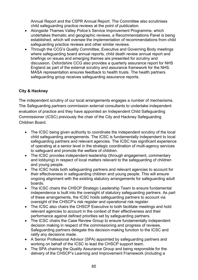Annual Report and the CSPR Annual Report. The Committee also scrutinises child safeguarding practice reviews at the point of publication.

- Alongside Thames Valley Police's Service Improvement Programme, which undertakes thematic and geographic reviews, a Recommendations Panel is being established, which will oversee the implementation of recommendations from child safeguarding practice reviews and other similar reviews.
- Through the CCG's Quality Committee, Executive and Governing Body meetings where safeguarding board annual reports, child death review annual report and briefings on issues and emerging themes are presented for scrutiny and discussion. Oxfordshire CCG also provides a quarterly assurance report for NHS England as part of the external scrutiny and assurance framework for the NHS. MASA representation ensures feedback to health trusts. The health partners safeguarding group receives safeguarding assurance reports.

### **City & Hackney**

The independent scrutiny of our local arrangements engages a number of mechanisms. The Safeguarding partners commission external consultants to undertake independent evaluation of practice and they have appointed an Independent Child Safeguarding Commissioner (ICSC) previously the chair of the City and Hackney Safeguarding Children Board.

- The ICSC being given authority to coordinate the independent scrutiny of the local child safeguarding arrangements. The ICSC is fundamentally independent to local safeguarding partners and relevant agencies. The ICSC has significant experience of operating at a senior level in the strategic coordination of multi-agency services to safeguard and promote the welfare of children.
- The ICSC provides independent leadership (through engagement, commentary and lobbying) in respect of local matters relevant to the safeguarding of children and young people.
- The ICSC holds both safeguarding partners and relevant agencies to account for their effectiveness in safeguarding children and young people. This will ensure ongoing alignment with the existing statutory arrangements for safeguarding adult boards.
- The ICSC chairs the CHSCP Strategic Leadership Team to ensure fundamental independence is built into the oversight of statutory safeguarding partners. As part of these arrangements, the ICSC holds safeguarding partners to account via oversight of the CHSCP's risk register and operational risk register.
- The ICSC also chairs the CHSCP Executive to both facilitate meetings and hold relevant agencies to account in the context of their effectiveness and their performance against defined priorities set by safeguarding partners.
- The ICSC chairs the Case Review Group to ensure fundamentally independent decision making in respect of the commissioning and progress of reviews. Safeguarding partners delegate this decision-making function to the ICSC and ratify any decisions made.
- A Senior Professional Advisor (SPA) appointed by safeguarding partners and working on behalf of the ICSC to lead the CHSCP support team.
- The SPA chairing the Quality Assurance Group and being responsible for the delivery of the CHSCP's Learning and Improvement Framework (including a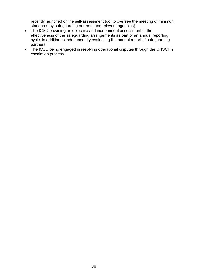recently launched online self-assessment tool to oversee the meeting of minimum standards by safeguarding partners and relevant agencies).

- The ICSC providing an objective and independent assessment of the effectiveness of the safeguarding arrangements as part of an annual reporting cycle, in addition to independently evaluating the annual report of safeguarding partners.
- The ICSC being engaged in resolving operational disputes through the CHSCP's escalation process.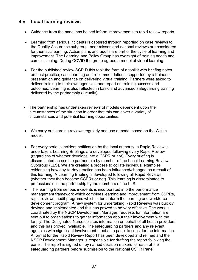## **4.v Local learning reviews**

- Guidance from the panel has helped inform improvements to rapid review reports.
- Learning from serious incidents is captured through reporting on case reviews to the Quality Assurance subgroup, near misses and national reviews are considered for thematic learning. Action plans and audits are part of the cycle of learning and improvement. The Learning and Policy Group has oversight of training needs and commissioning. During COVID the group agreed a model of virtual learning.
- For the published review SCR D this took the form of a toolkit with briefing notes on best practice, case learning and recommendations, supported by a trainer's presentation and guidance on delivering virtual training. Partners were asked to deliver training to their own agencies, and report on training success and outcomes. Learning is also reflected in basic and advanced safeguarding training delivered by the partnership (virtually).
- The partnership has undertaken reviews of models dependent upon the circumstances of the situation in order that this can cover a variety of circumstances and potential learning opportunities.
- We carry out learning reviews regularly and use a model based on the Welsh model.
- For every serious incident notification by the local authority, a Rapid Review is undertaken. Learning Briefings are developed following every Rapid Review (regardless of whether develops into a CSPR or not). Every briefing is disseminated across the partnership by member of the Local Learning Review Subgroup (LLS). We are creating a process to collate individual examples evidencing how day-to-day practice has been influenced/changed as a result of this learning. A Learning Briefing is developed following all Rapid Reviews (whether they then become CSPRs or not). This learning is disseminated to professionals in the partnership by the members of the LLS.
- The learning from serious incidents is incorporated into the performance management framework which combines learning and improvement from CSPRs, rapid reviews, audit programs which in turn inform the learning and workforce development program. A new system for undertaking Rapid Reviews was quickly devised and implemented and this has proved to be very effective. The work is coordinated by the NSCP Development Manager, requests for information are sent out to organisations to gather information about their involvement with the family. The Designated Nurse collates information on behalf of all health providers, and this has proved invaluable. The safeguarding partners and any relevant agencies with significant involvement meet as a panel to consider the information. A format for the Rapid Review Report has been developed and refined and the NSCP Development Manager is responsible for drafting the report following the panel. The report is signed off by named decision makers for each of the safeguarding partners before submission to the National CSPR Panel.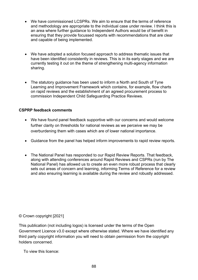- We have commissioned LCSPRs. We aim to ensure that the terms of reference and methodology are appropriate to the individual case under review. I think this is an area where further guidance to Independent Authors would be of benefit in ensuring that they provide focussed reports with recommendations that are clear and capable of being implemented.
- We have adopted a solution focused approach to address thematic issues that have been identified consistently in reviews. This is in its early stages and we are currently testing it out on the theme of strengthening multi-agency information sharing.
- The statutory guidance has been used to inform a North and South of Tyne Learning and Improvement Framework which contains, for example, flow charts on rapid reviews and the establishment of an agreed procurement process to commission Independent Child Safeguarding Practice Reviews.

### **CSPRP feedback comments**

- We have found panel feedback supportive with our concerns and would welcome further clarity on thresholds for national reviews as we perceive we may be overburdening them with cases which are of lower national importance.
- Guidance from the panel has helped inform improvements to rapid review reports.
- The National Panel has responded to our Rapid Review Reports. That feedback, along with attending conferences around Rapid Reviews and CSPRs (run by The National Panel) has allowed us to create an even more robust process that clearly sets out areas of concern and learning, informing Terms of Reference for a review and also ensuring learning is available during the review and robustly addressed.

© Crown copyright [2021]

This publication (not including logos) is licensed under the terms of the Open Government Licence v3.0 except where otherwise stated. Where we have identified any third party copyright information you will need to obtain permission from the copyright holders concerned.

To view this licence: